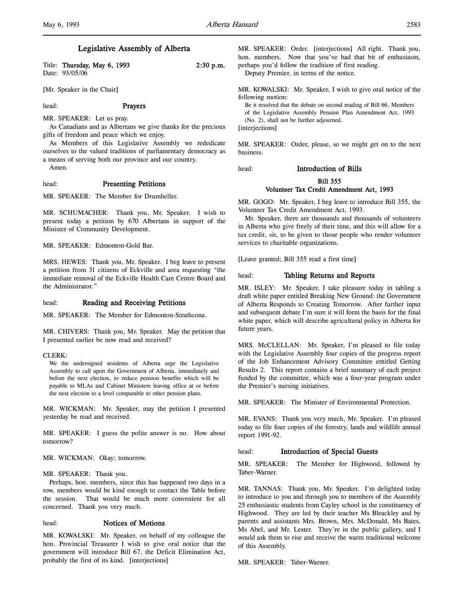l,

# Legislative Assembly of Alberta

| Title: Thursday, May 6, 1993 | $2:30$ p.m. |
|------------------------------|-------------|
| Date: 93/05/06               |             |

[Mr. Speaker in the Chair]

head: Prayers

MR. SPEAKER: Let us pray.

As Canadians and as Albertans we give thanks for the precious gifts of freedom and peace which we enjoy.

As Members of this Legislative Assembly we rededicate ourselves to the valued traditions of parliamentary democracy as a means of serving both our province and our country.

Amen.

## head: Presenting Petitions

MR. SPEAKER: The Member for Drumheller.

MR. SCHUMACHER: Thank you, Mr. Speaker. I wish to present today a petition by 670 Albertans in support of the Minister of Community Development.

MR. SPEAKER: Edmonton-Gold Bar.

MRS. HEWES: Thank you, Mr. Speaker. I beg leave to present a petition from 31 citizens of Eckville and area requesting "the immediate removal of the Eckville Health Care Centre Board and the Administrator."

## head: Reading and Receiving Petitions

MR. SPEAKER: The Member for Edmonton-Strathcona.

MR. CHIVERS: Thank you, Mr. Speaker. May the petition that I presented earlier be now read and received?

#### CLERK:

We the undersigned residents of Alberta urge the Legislative Assembly to call upon the Government of Alberta, immediately and before the next election, to reduce pension benefits which will be payable to MLAs and Cabinet Ministers leaving office at or before the next election to a level comparable to other pension plans.

MR. WICKMAN: Mr. Speaker, may the petition I presented yesterday be read and received.

MR. SPEAKER: I guess the polite answer is no. How about tomorrow?

MR. WICKMAN: Okay; tomorrow.

#### MR. SPEAKER: Thank you.

Perhaps, hon. members, since this has happened two days in a row, members would be kind enough to contact the Table before the session. That would be much more convenient for all concerned. Thank you very much.

## head: Notices of Motions

MR. KOWALSKI: Mr. Speaker, on behalf of my colleague the hon. Provincial Treasurer I wish to give oral notice that the government will introduce Bill 67, the Deficit Elimination Act, probably the first of its kind. [interjections]

MR. SPEAKER: Order. [interjections] All right. Thank you, hon. members. Now that you've had that bit of enthusiasm, perhaps you'd follow the tradition of first reading.

Deputy Premier, in terms of the notice.

MR. KOWALSKI: Mr. Speaker, I wish to give oral notice of the following motion:

Be it resolved that the debate on second reading of Bill 66, Members of the Legislative Assembly Pension Plan Amendment Act, 1993 (No. 2), shall not be further adjourned. [interjections]

MR. SPEAKER: Order, please, so we might get on to the next business.

head: Introduction of Bills

## Bill 355 Volunteer Tax Credit Amendment Act, 1993

MR. GOGO: Mr. Speaker, I beg leave to introduce Bill 355, the Volunteer Tax Credit Amendment Act, 1993.

Mr. Speaker, there are thousands and thousands of volunteers in Alberta who give freely of their time, and this will allow for a tax credit, sir, to be given to those people who render volunteer services to charitable organizations.

[Leave granted; Bill 355 read a first time]

#### head: Tabling Returns and Reports

MR. ISLEY: Mr. Speaker, I take pleasure today in tabling a draft white paper entitled Breaking New Ground: the Government of Alberta Responds to Creating Tomorrow. After further input and subsequent debate I'm sure it will form the basis for the final white paper, which will describe agricultural policy in Alberta for future years.

MRS. McCLELLAN: Mr. Speaker, I'm pleased to file today with the Legislative Assembly four copies of the progress report of the Job Enhancement Advisory Committee entitled Getting Results 2. This report contains a brief summary of each project funded by the committee, which was a four-year program under the Premier's nursing initiatives.

MR. SPEAKER: The Minister of Environmental Protection.

MR. EVANS: Thank you very much, Mr. Speaker. I'm pleased today to file four copies of the forestry, lands and wildlife annual report 1991-92.

#### head: Introduction of Special Guests

MR. SPEAKER: The Member for Highwood, followed by Taber-Warner.

MR. TANNAS: Thank you, Mr. Speaker. I'm delighted today to introduce to you and through you to members of the Assembly 25 enthusiastic students from Cayley school in the constituency of Highwood. They are led by their teacher Ms Bleackley and by parents and assistants Mrs. Brown, Mrs. McDonald, Ms Bates, Ms Abel, and Mr. Lester. They're in the public gallery, and I would ask them to rise and receive the warm traditional welcome of this Assembly.

MR. SPEAKER: Taber-Warner.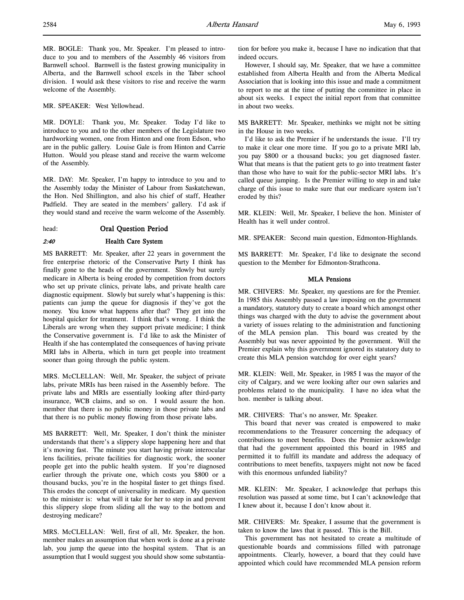MR. BOGLE: Thank you, Mr. Speaker. I'm pleased to introduce to you and to members of the Assembly 46 visitors from Barnwell school. Barnwell is the fastest growing municipality in Alberta, and the Barnwell school excels in the Taber school division. I would ask these visitors to rise and receive the warm welcome of the Assembly.

MR. SPEAKER: West Yellowhead.

MR. DOYLE: Thank you, Mr. Speaker. Today I'd like to introduce to you and to the other members of the Legislature two hardworking women, one from Hinton and one from Edson, who are in the public gallery. Louise Gale is from Hinton and Carrie Hutton. Would you please stand and receive the warm welcome of the Assembly.

MR. DAY: Mr. Speaker, I'm happy to introduce to you and to the Assembly today the Minister of Labour from Saskatchewan, the Hon. Ned Shillington, and also his chief of staff, Heather Padfield. They are seated in the members' gallery. I'd ask if they would stand and receive the warm welcome of the Assembly.

## head: Oral Question Period

# 2:40 Health Care System

MS BARRETT: Mr. Speaker, after 22 years in government the free enterprise rhetoric of the Conservative Party I think has finally gone to the heads of the government. Slowly but surely medicare in Alberta is being eroded by competition from doctors who set up private clinics, private labs, and private health care diagnostic equipment. Slowly but surely what's happening is this: patients can jump the queue for diagnosis if they've got the money. You know what happens after that? They get into the hospital quicker for treatment. I think that's wrong. I think the Liberals are wrong when they support private medicine; I think the Conservative government is. I'd like to ask the Minister of Health if she has contemplated the consequences of having private MRI labs in Alberta, which in turn get people into treatment sooner than going through the public system.

MRS. McCLELLAN: Well, Mr. Speaker, the subject of private labs, private MRIs has been raised in the Assembly before. The private labs and MRIs are essentially looking after third-party insurance, WCB claims, and so on. I would assure the hon. member that there is no public money in those private labs and that there is no public money flowing from those private labs.

MS BARRETT: Well, Mr. Speaker, I don't think the minister understands that there's a slippery slope happening here and that it's moving fast. The minute you start having private interocular lens facilities, private facilities for diagnostic work, the sooner people get into the public health system. If you're diagnosed earlier through the private one, which costs you \$800 or a thousand bucks, you're in the hospital faster to get things fixed. This erodes the concept of universality in medicare. My question to the minister is: what will it take for her to step in and prevent this slippery slope from sliding all the way to the bottom and destroying medicare?

MRS. McCLELLAN: Well, first of all, Mr. Speaker, the hon. member makes an assumption that when work is done at a private lab, you jump the queue into the hospital system. That is an assumption that I would suggest you should show some substantiation for before you make it, because I have no indication that that indeed occurs.

However, I should say, Mr. Speaker, that we have a committee established from Alberta Health and from the Alberta Medical Association that is looking into this issue and made a commitment to report to me at the time of putting the committee in place in about six weeks. I expect the initial report from that committee in about two weeks.

MS BARRETT: Mr. Speaker, methinks we might not be sitting in the House in two weeks.

I'd like to ask the Premier if he understands the issue. I'll try to make it clear one more time. If you go to a private MRI lab, you pay \$800 or a thousand bucks; you get diagnosed faster. What that means is that the patient gets to go into treatment faster than those who have to wait for the public-sector MRI labs. It's called queue jumping. Is the Premier willing to step in and take charge of this issue to make sure that our medicare system isn't eroded by this?

MR. KLEIN: Well, Mr. Speaker, I believe the hon. Minister of Health has it well under control.

MR. SPEAKER: Second main question, Edmonton-Highlands.

MS BARRETT: Mr. Speaker, I'd like to designate the second question to the Member for Edmonton-Strathcona.

# MLA Pensions

MR. CHIVERS: Mr. Speaker, my questions are for the Premier. In 1985 this Assembly passed a law imposing on the government a mandatory, statutory duty to create a board which amongst other things was charged with the duty to advise the government about a variety of issues relating to the administration and functioning of the MLA pension plan. This board was created by the Assembly but was never appointed by the government. Will the Premier explain why this government ignored its statutory duty to create this MLA pension watchdog for over eight years?

MR. KLEIN: Well, Mr. Speaker, in 1985 I was the mayor of the city of Calgary, and we were looking after our own salaries and problems related to the municipality. I have no idea what the hon. member is talking about.

#### MR. CHIVERS: That's no answer, Mr. Speaker.

This board that never was created is empowered to make recommendations to the Treasurer concerning the adequacy of contributions to meet benefits. Does the Premier acknowledge that had the government appointed this board in 1985 and permitted it to fulfill its mandate and address the adequacy of contributions to meet benefits, taxpayers might not now be faced with this enormous unfunded liability?

MR. KLEIN: Mr. Speaker, I acknowledge that perhaps this resolution was passed at some time, but I can't acknowledge that I knew about it, because I don't know about it.

MR. CHIVERS: Mr. Speaker, I assume that the government is taken to know the laws that it passed. This is the Bill.

This government has not hesitated to create a multitude of questionable boards and commissions filled with patronage appointments. Clearly, however, a board that they could have appointed which could have recommended MLA pension reform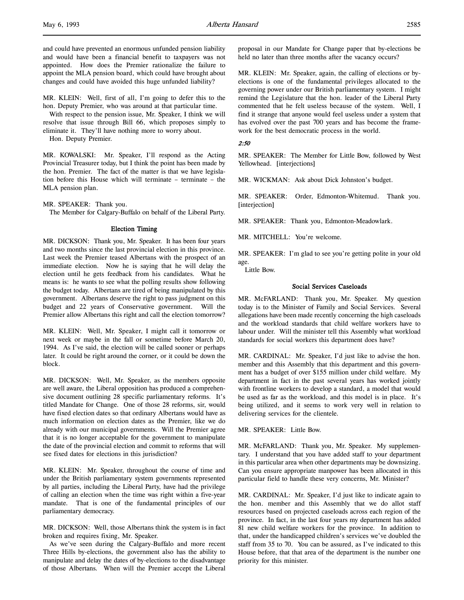MR. KLEIN: Well, first of all, I'm going to defer this to the hon. Deputy Premier, who was around at that particular time.

With respect to the pension issue, Mr. Speaker, I think we will resolve that issue through Bill 66, which proposes simply to eliminate it. They'll have nothing more to worry about.

Hon. Deputy Premier.

MR. KOWALSKI: Mr. Speaker, I'll respond as the Acting Provincial Treasurer today, but I think the point has been made by the hon. Premier. The fact of the matter is that we have legislation before this House which will terminate – terminate – the MLA pension plan.

MR. SPEAKER: Thank you.

The Member for Calgary-Buffalo on behalf of the Liberal Party.

### Election Timing

MR. DICKSON: Thank you, Mr. Speaker. It has been four years and two months since the last provincial election in this province. Last week the Premier teased Albertans with the prospect of an immediate election. Now he is saying that he will delay the election until he gets feedback from his candidates. What he means is: he wants to see what the polling results show following the budget today. Albertans are tired of being manipulated by this government. Albertans deserve the right to pass judgment on this budget and 22 years of Conservative government. Will the Premier allow Albertans this right and call the election tomorrow?

MR. KLEIN: Well, Mr. Speaker, I might call it tomorrow or next week or maybe in the fall or sometime before March 20, 1994. As I've said, the election will be called sooner or perhaps later. It could be right around the corner, or it could be down the block.

MR. DICKSON: Well, Mr. Speaker, as the members opposite are well aware, the Liberal opposition has produced a comprehensive document outlining 28 specific parliamentary reforms. It's titled Mandate for Change. One of those 28 reforms, sir, would have fixed election dates so that ordinary Albertans would have as much information on election dates as the Premier, like we do already with our municipal governments. Will the Premier agree that it is no longer acceptable for the government to manipulate the date of the provincial election and commit to reforms that will see fixed dates for elections in this jurisdiction?

MR. KLEIN: Mr. Speaker, throughout the course of time and under the British parliamentary system governments represented by all parties, including the Liberal Party, have had the privilege of calling an election when the time was right within a five-year mandate. That is one of the fundamental principles of our parliamentary democracy.

MR. DICKSON: Well, those Albertans think the system is in fact broken and requires fixing, Mr. Speaker.

As we've seen during the Calgary-Buffalo and more recent Three Hills by-elections, the government also has the ability to manipulate and delay the dates of by-elections to the disadvantage of those Albertans. When will the Premier accept the Liberal

proposal in our Mandate for Change paper that by-elections be held no later than three months after the vacancy occurs?

MR. KLEIN: Mr. Speaker, again, the calling of elections or byelections is one of the fundamental privileges allocated to the governing power under our British parliamentary system. I might remind the Legislature that the hon. leader of the Liberal Party commented that he felt useless because of the system. Well, I find it strange that anyone would feel useless under a system that has evolved over the past 700 years and has become the framework for the best democratic process in the world.

#### 2:50

MR. SPEAKER: The Member for Little Bow, followed by West Yellowhead. [interjections]

MR. WICKMAN: Ask about Dick Johnston's budget.

MR. SPEAKER: Order, Edmonton-Whitemud. Thank you. [interjection]

MR. SPEAKER: Thank you, Edmonton-Meadowlark.

MR. MITCHELL: You're welcome.

MR. SPEAKER: I'm glad to see you're getting polite in your old age.

Little Bow.

## Social Services Caseloads

MR. McFARLAND: Thank you, Mr. Speaker. My question today is to the Minister of Family and Social Services. Several allegations have been made recently concerning the high caseloads and the workload standards that child welfare workers have to labour under. Will the minister tell this Assembly what workload standards for social workers this department does have?

MR. CARDINAL: Mr. Speaker, I'd just like to advise the hon. member and this Assembly that this department and this government has a budget of over \$155 million under child welfare. My department in fact in the past several years has worked jointly with frontline workers to develop a standard, a model that would be used as far as the workload, and this model is in place. It's being utilized, and it seems to work very well in relation to delivering services for the clientele.

MR. SPEAKER: Little Bow.

MR. McFARLAND: Thank you, Mr. Speaker. My supplementary. I understand that you have added staff to your department in this particular area when other departments may be downsizing. Can you ensure appropriate manpower has been allocated in this particular field to handle these very concerns, Mr. Minister?

MR. CARDINAL: Mr. Speaker, I'd just like to indicate again to the hon. member and this Assembly that we do allot staff resources based on projected caseloads across each region of the province. In fact, in the last four years my department has added 81 new child welfare workers for the province. In addition to that, under the handicapped children's services we've doubled the staff from 35 to 70. You can be assured, as I've indicated to this House before, that that area of the department is the number one priority for this minister.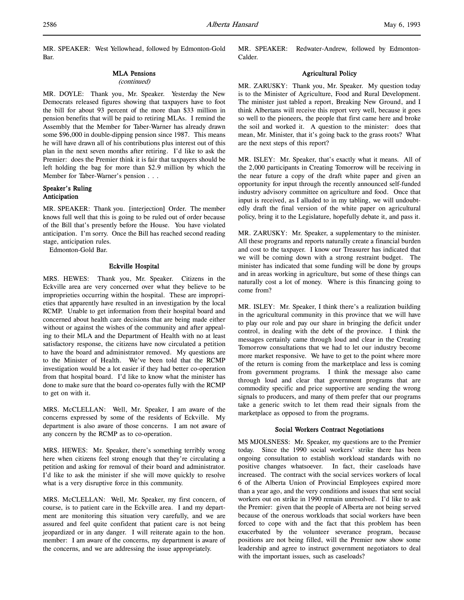MR. SPEAKER: West Yellowhead, followed by Edmonton-Gold Bar.

#### MLA Pensions

#### (continued)

MR. DOYLE: Thank you, Mr. Speaker. Yesterday the New Democrats released figures showing that taxpayers have to foot the bill for about 93 percent of the more than \$33 million in pension benefits that will be paid to retiring MLAs. I remind the Assembly that the Member for Taber-Warner has already drawn some \$96,000 in double-dipping pension since 1987. This means he will have drawn all of his contributions plus interest out of this plan in the next seven months after retiring. I'd like to ask the Premier: does the Premier think it is fair that taxpayers should be left holding the bag for more than \$2.9 million by which the Member for Taber-Warner's pension . . .

## Speaker's Ruling Anticipation

MR. SPEAKER: Thank you. [interjection] Order. The member knows full well that this is going to be ruled out of order because of the Bill that's presently before the House. You have violated anticipation. I'm sorry. Once the Bill has reached second reading stage, anticipation rules.

Edmonton-Gold Bar.

### Eckville Hospital

MRS. HEWES: Thank you, Mr. Speaker. Citizens in the Eckville area are very concerned over what they believe to be improprieties occurring within the hospital. These are improprieties that apparently have resulted in an investigation by the local RCMP. Unable to get information from their hospital board and concerned about health care decisions that are being made either without or against the wishes of the community and after appealing to their MLA and the Department of Health with no at least satisfactory response, the citizens have now circulated a petition to have the board and administrator removed. My questions are to the Minister of Health. We've been told that the RCMP investigation would be a lot easier if they had better co-operation from that hospital board. I'd like to know what the minister has done to make sure that the board co-operates fully with the RCMP to get on with it.

MRS. McCLELLAN: Well, Mr. Speaker, I am aware of the concerns expressed by some of the residents of Eckville. My department is also aware of those concerns. I am not aware of any concern by the RCMP as to co-operation.

MRS. HEWES: Mr. Speaker, there's something terribly wrong here when citizens feel strong enough that they're circulating a petition and asking for removal of their board and administrator. I'd like to ask the minister if she will move quickly to resolve what is a very disruptive force in this community.

MRS. McCLELLAN: Well, Mr. Speaker, my first concern, of course, is to patient care in the Eckville area. I and my department are monitoring this situation very carefully, and we are assured and feel quite confident that patient care is not being jeopardized or in any danger. I will reiterate again to the hon. member: I am aware of the concerns, my department is aware of the concerns, and we are addressing the issue appropriately.

MR. SPEAKER: Redwater-Andrew, followed by Edmonton-Calder.

## Agricultural Policy

MR. ZARUSKY: Thank you, Mr. Speaker. My question today is to the Minister of Agriculture, Food and Rural Development. The minister just tabled a report, Breaking New Ground, and I think Albertans will receive this report very well, because it goes so well to the pioneers, the people that first came here and broke the soil and worked it. A question to the minister: does that mean, Mr. Minister, that it's going back to the grass roots? What are the next steps of this report?

MR. ISLEY: Mr. Speaker, that's exactly what it means. All of the 2,000 participants in Creating Tomorrow will be receiving in the near future a copy of the draft white paper and given an opportunity for input through the recently announced self-funded industry advisory committee on agriculture and food. Once that input is received, as I alluded to in my tabling, we will undoubtedly draft the final version of the white paper on agricultural policy, bring it to the Legislature, hopefully debate it, and pass it.

MR. ZARUSKY: Mr. Speaker, a supplementary to the minister. All these programs and reports naturally create a financial burden and cost to the taxpayer. I know our Treasurer has indicated that we will be coming down with a strong restraint budget. The minister has indicated that some funding will be done by groups and in areas working in agriculture, but some of these things can naturally cost a lot of money. Where is this financing going to come from?

MR. ISLEY: Mr. Speaker, I think there's a realization building in the agricultural community in this province that we will have to play our role and pay our share in bringing the deficit under control, in dealing with the debt of the province. I think the messages certainly came through loud and clear in the Creating Tomorrow consultations that we had to let our industry become more market responsive. We have to get to the point where more of the return is coming from the marketplace and less is coming from government programs. I think the message also came through loud and clear that government programs that are commodity specific and price supportive are sending the wrong signals to producers, and many of them prefer that our programs take a generic switch to let them read their signals from the marketplace as opposed to from the programs.

## Social Workers Contract Negotiations

MS MJOLSNESS: Mr. Speaker, my questions are to the Premier today. Since the 1990 social workers' strike there has been ongoing consultation to establish workload standards with no positive changes whatsoever. In fact, their caseloads have increased. The contract with the social services workers of local 6 of the Alberta Union of Provincial Employees expired more than a year ago, and the very conditions and issues that sent social workers out on strike in 1990 remain unresolved. I'd like to ask the Premier: given that the people of Alberta are not being served because of the onerous workloads that social workers have been forced to cope with and the fact that this problem has been exacerbated by the volunteer severance program, because positions are not being filled, will the Premier now show some leadership and agree to instruct government negotiators to deal with the important issues, such as caseloads?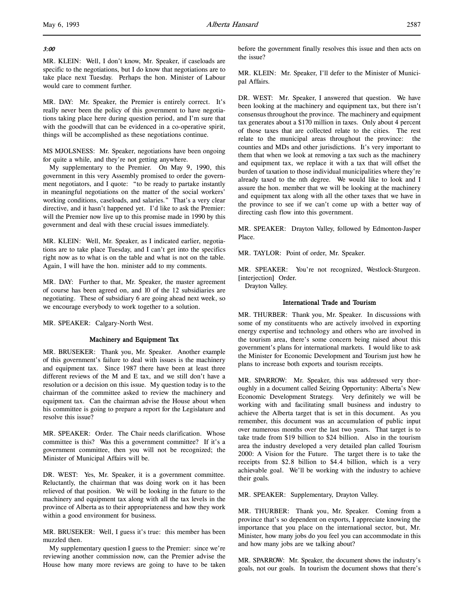# 3:00

l,

MR. KLEIN: Well, I don't know, Mr. Speaker, if caseloads are specific to the negotiations, but I do know that negotiations are to take place next Tuesday. Perhaps the hon. Minister of Labour would care to comment further.

MR. DAY: Mr. Speaker, the Premier is entirely correct. It's really never been the policy of this government to have negotiations taking place here during question period, and I'm sure that with the goodwill that can be evidenced in a co-operative spirit, things will be accomplished as these negotiations continue.

MS MJOLSNESS: Mr. Speaker, negotiations have been ongoing for quite a while, and they're not getting anywhere.

My supplementary to the Premier. On May 9, 1990, this government in this very Assembly promised to order the government negotiators, and I quote: "to be ready to partake instantly in meaningful negotiations on the matter of the social workers' working conditions, caseloads, and salaries." That's a very clear directive, and it hasn't happened yet. I'd like to ask the Premier: will the Premier now live up to this promise made in 1990 by this government and deal with these crucial issues immediately.

MR. KLEIN: Well, Mr. Speaker, as I indicated earlier, negotiations are to take place Tuesday, and I can't get into the specifics right now as to what is on the table and what is not on the table. Again, I will have the hon. minister add to my comments.

MR. DAY: Further to that, Mr. Speaker, the master agreement of course has been agreed on, and 10 of the 12 subsidiaries are negotiating. These of subsidiary 6 are going ahead next week, so we encourage everybody to work together to a solution.

MR. SPEAKER: Calgary-North West.

# Machinery and Equipment Tax

MR. BRUSEKER: Thank you, Mr. Speaker. Another example of this government's failure to deal with issues is the machinery and equipment tax. Since 1987 there have been at least three different reviews of the M and E tax, and we still don't have a resolution or a decision on this issue. My question today is to the chairman of the committee asked to review the machinery and equipment tax. Can the chairman advise the House about when his committee is going to prepare a report for the Legislature and resolve this issue?

MR. SPEAKER: Order. The Chair needs clarification. Whose committee is this? Was this a government committee? If it's a government committee, then you will not be recognized; the Minister of Municipal Affairs will be.

DR. WEST: Yes, Mr. Speaker, it is a government committee. Reluctantly, the chairman that was doing work on it has been relieved of that position. We will be looking in the future to the machinery and equipment tax along with all the tax levels in the province of Alberta as to their appropriateness and how they work within a good environment for business.

MR. BRUSEKER: Well, I guess it's true: this member has been muzzled then.

My supplementary question I guess to the Premier: since we're reviewing another commission now, can the Premier advise the House how many more reviews are going to have to be taken

before the government finally resolves this issue and then acts on the issue?

MR. KLEIN: Mr. Speaker, I'll defer to the Minister of Municipal Affairs.

DR. WEST: Mr. Speaker, I answered that question. We have been looking at the machinery and equipment tax, but there isn't consensus throughout the province. The machinery and equipment tax generates about a \$170 million in taxes. Only about 4 percent of those taxes that are collected relate to the cities. The rest relate to the municipal areas throughout the province: the counties and MDs and other jurisdictions. It's very important to them that when we look at removing a tax such as the machinery and equipment tax, we replace it with a tax that will offset the burden of taxation to those individual municipalities where they're already taxed to the nth degree. We would like to look and I assure the hon. member that we will be looking at the machinery and equipment tax along with all the other taxes that we have in the province to see if we can't come up with a better way of directing cash flow into this government.

MR. SPEAKER: Drayton Valley, followed by Edmonton-Jasper Place.

MR. TAYLOR: Point of order, Mr. Speaker.

MR. SPEAKER: You're not recognized, Westlock-Sturgeon. [interjection] Order.

Drayton Valley.

## International Trade and Tourism

MR. THURBER: Thank you, Mr. Speaker. In discussions with some of my constituents who are actively involved in exporting energy expertise and technology and others who are involved in the tourism area, there's some concern being raised about this government's plans for international markets. I would like to ask the Minister for Economic Development and Tourism just how he plans to increase both exports and tourism receipts.

MR. SPARROW: Mr. Speaker, this was addressed very thoroughly in a document called Seizing Opportunity: Alberta's New Economic Development Strategy. Very definitely we will be working with and facilitating small business and industry to achieve the Alberta target that is set in this document. As you remember, this document was an accumulation of public input over numerous months over the last two years. That target is to take trade from \$19 billion to \$24 billion. Also in the tourism area the industry developed a very detailed plan called Tourism 2000: A Vision for the Future. The target there is to take the receipts from \$2.8 billion to \$4.4 billion, which is a very achievable goal. We'll be working with the industry to achieve their goals.

MR. SPEAKER: Supplementary, Drayton Valley.

MR. THURBER: Thank you, Mr. Speaker. Coming from a province that's so dependent on exports, I appreciate knowing the importance that you place on the international sector, but, Mr. Minister, how many jobs do you feel you can accommodate in this and how many jobs are we talking about?

MR. SPARROW: Mr. Speaker, the document shows the industry's goals, not our goals. In tourism the document shows that there's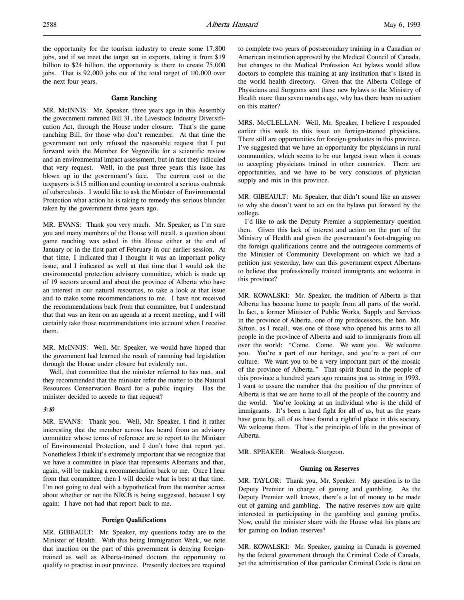the opportunity for the tourism industry to create some 17,800 jobs, and if we meet the target set in exports, taking it from \$19 billion to \$24 billion, the opportunity is there to create 75,000 jobs. That is 92,000 jobs out of the total target of 110,000 over the next four years.

#### Game Ranching

MR. McINNIS: Mr. Speaker, three years ago in this Assembly the government rammed Bill 31, the Livestock Industry Diversification Act, through the House under closure. That's the game ranching Bill, for those who don't remember. At that time the government not only refused the reasonable request that I put forward with the Member for Vegreville for a scientific review and an environmental impact assessment, but in fact they ridiculed that very request. Well, in the past three years this issue has blown up in the government's face. The current cost to the taxpayers is \$15 million and counting to control a serious outbreak of tuberculosis. I would like to ask the Minister of Environmental Protection what action he is taking to remedy this serious blunder taken by the government three years ago.

MR. EVANS: Thank you very much. Mr. Speaker, as I'm sure you and many members of the House will recall, a question about game ranching was asked in this House either at the end of January or in the first part of February in our earlier session. At that time, I indicated that I thought it was an important policy issue, and I indicated as well at that time that I would ask the environmental protection advisory committee, which is made up of 19 sectors around and about the province of Alberta who have an interest in our natural resources, to take a look at that issue and to make some recommendations to me. I have not received the recommendations back from that committee, but I understand that that was an item on an agenda at a recent meeting, and I will certainly take those recommendations into account when I receive them.

MR. McINNIS: Well, Mr. Speaker, we would have hoped that the government had learned the result of ramming bad legislation through the House under closure but evidently not.

Well, that committee that the minister referred to has met, and they recommended that the minister refer the matter to the Natural Resources Conservation Board for a public inquiry. Has the minister decided to accede to that request?

#### 3:10

MR. EVANS: Thank you. Well, Mr. Speaker, I find it rather interesting that the member across has heard from an advisory committee whose terms of reference are to report to the Minister of Environmental Protection, and I don't have that report yet. Nonetheless I think it's extremely important that we recognize that we have a committee in place that represents Albertans and that, again, will be making a recommendation back to me. Once I hear from that committee, then I will decide what is best at that time. I'm not going to deal with a hypothetical from the member across about whether or not the NRCB is being suggested, because I say again: I have not had that report back to me.

## Foreign Qualifications

MR. GIBEAULT: Mr. Speaker, my questions today are to the Minister of Health. With this being Immigration Week, we note that inaction on the part of this government is denying foreigntrained as well as Alberta-trained doctors the opportunity to qualify to practise in our province. Presently doctors are required

to complete two years of postsecondary training in a Canadian or American institution approved by the Medical Council of Canada, but changes to the Medical Profession Act bylaws would allow doctors to complete this training at any institution that's listed in the world health directory. Given that the Alberta College of Physicians and Surgeons sent these new bylaws to the Ministry of Health more than seven months ago, why has there been no action on this matter?

MRS. McCLELLAN: Well, Mr. Speaker, I believe I responded earlier this week to this issue on foreign-trained physicians. There still are opportunities for foreign graduates in this province. I've suggested that we have an opportunity for physicians in rural communities, which seems to be our largest issue when it comes to accepting physicians trained in other countries. There are opportunities, and we have to be very conscious of physician supply and mix in this province.

MR. GIBEAULT: Mr. Speaker, that didn't sound like an answer to why she doesn't want to act on the bylaws put forward by the college.

I'd like to ask the Deputy Premier a supplementary question then. Given this lack of interest and action on the part of the Ministry of Health and given the government's foot-dragging on the foreign qualifications centre and the outrageous comments of the Minister of Community Development on which we had a petition just yesterday, how can this government expect Albertans to believe that professionally trained immigrants are welcome in this province?

MR. KOWALSKI: Mr. Speaker, the tradition of Alberta is that Alberta has become home to people from all parts of the world. In fact, a former Minister of Public Works, Supply and Services in the province of Alberta, one of my predecessors, the hon. Mr. Sifton, as I recall, was one of those who opened his arms to all people in the province of Alberta and said to immigrants from all over the world: "Come. Come. We want you. We welcome you. You're a part of our heritage, and you're a part of our culture. We want you to be a very important part of the mosaic of the province of Alberta." That spirit found in the people of this province a hundred years ago remains just as strong in 1993. I want to assure the member that the position of the province of Alberta is that we are home to all of the people of the country and the world. You're looking at an individual who is the child of immigrants. It's been a hard fight for all of us, but as the years have gone by, all of us have found a rightful place in this society. We welcome them. That's the principle of life in the province of Alberta.

MR. SPEAKER: Westlock-Sturgeon.

#### Gaming on Reserves

MR. TAYLOR: Thank you, Mr. Speaker. My question is to the Deputy Premier in charge of gaming and gambling. As the Deputy Premier well knows, there's a lot of money to be made out of gaming and gambling. The native reserves now are quite interested in participating in the gambling and gaming profits. Now, could the minister share with the House what his plans are for gaming on Indian reserves?

MR. KOWALSKI: Mr. Speaker, gaming in Canada is governed by the federal government through the Criminal Code of Canada, yet the administration of that particular Criminal Code is done on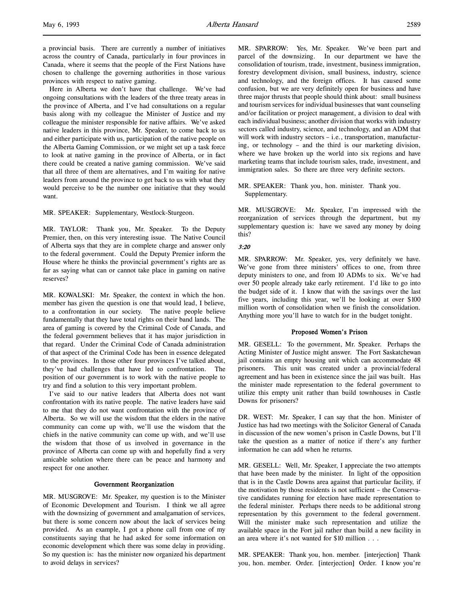a provincial basis. There are currently a number of initiatives across the country of Canada, particularly in four provinces in Canada, where it seems that the people of the First Nations have chosen to challenge the governing authorities in those various provinces with respect to native gaming.

Here in Alberta we don't have that challenge. We've had ongoing consultations with the leaders of the three treaty areas in the province of Alberta, and I've had consultations on a regular basis along with my colleague the Minister of Justice and my colleague the minister responsible for native affairs. We've asked native leaders in this province, Mr. Speaker, to come back to us and either participate with us, participation of the native people on the Alberta Gaming Commission, or we might set up a task force to look at native gaming in the province of Alberta, or in fact there could be created a native gaming commission. We've said that all three of them are alternatives, and I'm waiting for native leaders from around the province to get back to us with what they would perceive to be the number one initiative that they would want.

MR. SPEAKER: Supplementary, Westlock-Sturgeon.

MR. TAYLOR: Thank you, Mr. Speaker. To the Deputy Premier, then, on this very interesting issue. The Native Council of Alberta says that they are in complete charge and answer only to the federal government. Could the Deputy Premier inform the House where he thinks the provincial government's rights are as far as saying what can or cannot take place in gaming on native reserves?

MR. KOWALSKI: Mr. Speaker, the context in which the hon. member has given the question is one that would lead, I believe, to a confrontation in our society. The native people believe fundamentally that they have total rights on their band lands. The area of gaming is covered by the Criminal Code of Canada, and the federal government believes that it has major jurisdiction in that regard. Under the Criminal Code of Canada administration of that aspect of the Criminal Code has been in essence delegated to the provinces. In those other four provinces I've talked about, they've had challenges that have led to confrontation. The position of our government is to work with the native people to try and find a solution to this very important problem.

I've said to our native leaders that Alberta does not want confrontation with its native people. The native leaders have said to me that they do not want confrontation with the province of Alberta. So we will use the wisdom that the elders in the native community can come up with, we'll use the wisdom that the chiefs in the native community can come up with, and we'll use the wisdom that those of us involved in governance in the province of Alberta can come up with and hopefully find a very amicable solution where there can be peace and harmony and respect for one another.

#### Government Reorganization

MR. MUSGROVE: Mr. Speaker, my question is to the Minister of Economic Development and Tourism. I think we all agree with the downsizing of government and amalgamation of services, but there is some concern now about the lack of services being provided. As an example, I got a phone call from one of my constituents saying that he had asked for some information on economic development which there was some delay in providing. So my question is: has the minister now organized his department to avoid delays in services?

MR. SPARROW: Yes, Mr. Speaker. We've been part and parcel of the downsizing. In our department we have the consolidation of tourism, trade, investment, business immigration, forestry development division, small business, industry, science and technology, and the foreign offices. It has caused some confusion, but we are very definitely open for business and have three major thrusts that people should think about: small business and tourism services for individual businesses that want counseling and/or facilitation or project management, a division to deal with each individual business; another division that works with industry sectors called industry, science, and technology, and an ADM that will work with industry sectors - i.e., transportation, manufacturing, or technology – and the third is our marketing division, where we have broken up the world into six regions and have marketing teams that include tourism sales, trade, investment, and immigration sales. So there are three very definite sectors.

MR. SPEAKER: Thank you, hon. minister. Thank you. Supplementary.

MR. MUSGROVE: Mr. Speaker, I'm impressed with the reorganization of services through the department, but my supplementary question is: have we saved any money by doing this?

#### 3:20

MR. SPARROW: Mr. Speaker, yes, very definitely we have. We've gone from three ministers' offices to one, from three deputy ministers to one, and from 10 ADMs to six. We've had over 50 people already take early retirement. I'd like to go into the budget side of it. I know that with the savings over the last five years, including this year, we'll be looking at over \$100 million worth of consolidation when we finish the consolidation. Anything more you'll have to watch for in the budget tonight.

#### Proposed Women's Prison

MR. GESELL: To the government, Mr. Speaker. Perhaps the Acting Minister of Justice might answer. The Fort Saskatchewan jail contains an empty housing unit which can accommodate 48 prisoners. This unit was created under a provincial/federal agreement and has been in existence since the jail was built. Has the minister made representation to the federal government to utilize this empty unit rather than build townhouses in Castle Downs for prisoners?

DR. WEST: Mr. Speaker, I can say that the hon. Minister of Justice has had two meetings with the Solicitor General of Canada in discussion of the new women's prison in Castle Downs, but I'll take the question as a matter of notice if there's any further information he can add when he returns.

MR. GESELL: Well, Mr. Speaker, I appreciate the two attempts that have been made by the minister. In light of the opposition that is in the Castle Downs area against that particular facility, if the motivation by those residents is not sufficient – the Conservative candidates running for election have made representation to the federal minister. Perhaps there needs to be additional strong representation by this government to the federal government. Will the minister make such representation and utilize the available space in the Fort jail rather than build a new facility in an area where it's not wanted for \$10 million . . .

MR. SPEAKER: Thank you, hon. member. [interjection] Thank you, hon. member. Order. [interjection] Order. I know you're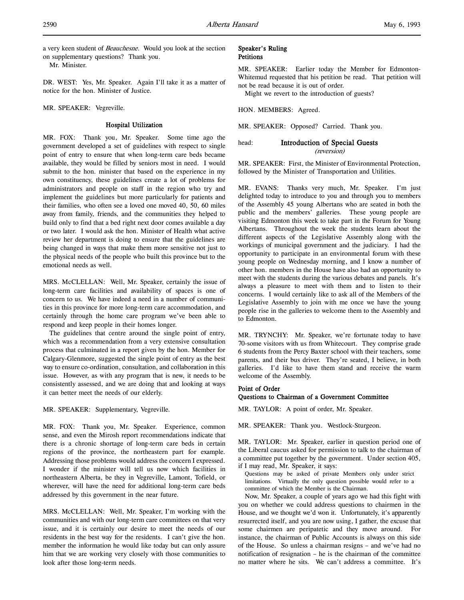a very keen student of Beauchesne. Would you look at the section on supplementary questions? Thank you.

Mr. Minister.

DR. WEST: Yes, Mr. Speaker. Again I'll take it as a matter of notice for the hon. Minister of Justice.

MR. SPEAKER: Vegreville.

## Hospital Utilization

MR. FOX: Thank you, Mr. Speaker. Some time ago the government developed a set of guidelines with respect to single point of entry to ensure that when long-term care beds became available, they would be filled by seniors most in need. I would submit to the hon. minister that based on the experience in my own constituency, these guidelines create a lot of problems for administrators and people on staff in the region who try and implement the guidelines but more particularly for patients and their families, who often see a loved one moved 40, 50, 60 miles away from family, friends, and the communities they helped to build only to find that a bed right next door comes available a day or two later. I would ask the hon. Minister of Health what active review her department is doing to ensure that the guidelines are being changed in ways that make them more sensitive not just to the physical needs of the people who built this province but to the emotional needs as well.

MRS. McCLELLAN: Well, Mr. Speaker, certainly the issue of long-term care facilities and availability of spaces is one of concern to us. We have indeed a need in a number of communities in this province for more long-term care accommodation, and certainly through the home care program we've been able to respond and keep people in their homes longer.

The guidelines that centre around the single point of entry, which was a recommendation from a very extensive consultation process that culminated in a report given by the hon. Member for Calgary-Glenmore, suggested the single point of entry as the best way to ensure co-ordination, consultation, and collaboration in this issue. However, as with any program that is new, it needs to be consistently assessed, and we are doing that and looking at ways it can better meet the needs of our elderly.

MR. SPEAKER: Supplementary, Vegreville.

MR. FOX: Thank you, Mr. Speaker. Experience, common sense, and even the Mirosh report recommendations indicate that there is a chronic shortage of long-term care beds in certain regions of the province, the northeastern part for example. Addressing those problems would address the concern I expressed. I wonder if the minister will tell us now which facilities in northeastern Alberta, be they in Vegreville, Lamont, Tofield, or wherever, will have the need for additional long-term care beds addressed by this government in the near future.

MRS. McCLELLAN: Well, Mr. Speaker, I'm working with the communities and with our long-term care committees on that very issue, and it is certainly our desire to meet the needs of our residents in the best way for the residents. I can't give the hon. member the information he would like today but can only assure him that we are working very closely with those communities to look after those long-term needs.

## Speaker's Ruling **Petitions**

MR. SPEAKER: Earlier today the Member for Edmonton-Whitemud requested that his petition be read. That petition will not be read because it is out of order.

Might we revert to the introduction of guests?

HON. MEMBERS: Agreed.

MR. SPEAKER: Opposed? Carried. Thank you.

# head: Introduction of Special Guests

(reversion)

MR. SPEAKER: First, the Minister of Environmental Protection, followed by the Minister of Transportation and Utilities.

MR. EVANS: Thanks very much, Mr. Speaker. I'm just delighted today to introduce to you and through you to members of the Assembly 45 young Albertans who are seated in both the public and the members' galleries. These young people are visiting Edmonton this week to take part in the Forum for Young Albertans. Throughout the week the students learn about the different aspects of the Legislative Assembly along with the workings of municipal government and the judiciary. I had the opportunity to participate in an environmental forum with these young people on Wednesday morning, and I know a number of other hon. members in the House have also had an opportunity to meet with the students during the various debates and panels. It's always a pleasure to meet with them and to listen to their concerns. I would certainly like to ask all of the Members of the Legislative Assembly to join with me once we have the young people rise in the galleries to welcome them to the Assembly and to Edmonton.

MR. TRYNCHY: Mr. Speaker, we're fortunate today to have 70-some visitors with us from Whitecourt. They comprise grade 6 students from the Percy Baxter school with their teachers, some parents, and their bus driver. They're seated, I believe, in both galleries. I'd like to have them stand and receive the warm welcome of the Assembly.

# Point of Order

## Questions to Chairman of a Government Committee

MR. TAYLOR: A point of order, Mr. Speaker.

MR. SPEAKER: Thank you. Westlock-Sturgeon.

MR. TAYLOR: Mr. Speaker, earlier in question period one of the Liberal caucus asked for permission to talk to the chairman of a committee put together by the government. Under section 405, if I may read, Mr. Speaker, it says:

Questions may be asked of private Members only under strict limitations. Virtually the only question possible would refer to a committee of which the Member is the Chairman.

Now, Mr. Speaker, a couple of years ago we had this fight with you on whether we could address questions to chairmen in the House, and we thought we'd won it. Unfortunately, it's apparently resurrected itself, and you are now using, I gather, the excuse that some chairmen are peripatetic and they move around. For instance, the chairman of Public Accounts is always on this side of the House. So unless a chairman resigns – and we've had no notification of resignation – he is the chairman of the committee no matter where he sits. We can't address a committee. It's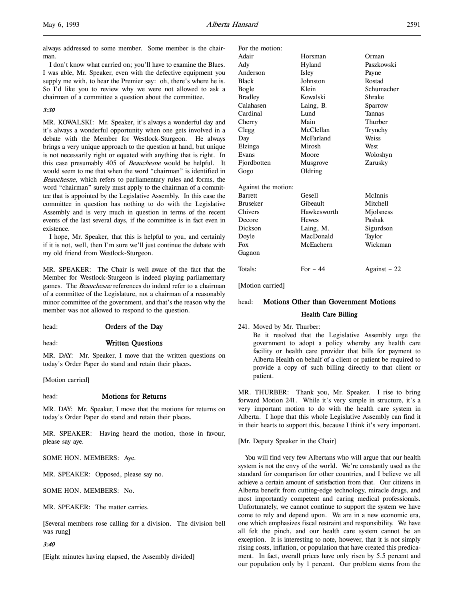l,

always addressed to some member. Some member is the chairman.

I don't know what carried on; you'll have to examine the Blues. I was able, Mr. Speaker, even with the defective equipment you supply me with, to hear the Premier say: oh, there's where he is. So I'd like you to review why we were not allowed to ask a chairman of a committee a question about the committee.

#### 3:30

MR. KOWALSKI: Mr. Speaker, it's always a wonderful day and it's always a wonderful opportunity when one gets involved in a debate with the Member for Westlock-Sturgeon. He always brings a very unique approach to the question at hand, but unique is not necessarily right or equated with anything that is right. In this case presumably 405 of Beauchesne would be helpful. It would seem to me that when the word "chairman" is identified in Beauchesne, which refers to parliamentary rules and forms, the word "chairman" surely must apply to the chairman of a committee that is appointed by the Legislative Assembly. In this case the committee in question has nothing to do with the Legislative Assembly and is very much in question in terms of the recent events of the last several days, if the committee is in fact even in existence.

I hope, Mr. Speaker, that this is helpful to you, and certainly if it is not, well, then I'm sure we'll just continue the debate with my old friend from Westlock-Sturgeon.

MR. SPEAKER: The Chair is well aware of the fact that the Member for Westlock-Sturgeon is indeed playing parliamentary games. The *Beauchesne* references do indeed refer to a chairman of a committee of the Legislature, not a chairman of a reasonably minor committee of the government, and that's the reason why the member was not allowed to respond to the question.

### head: **Orders of the Day**

head: Written Questions

MR. DAY: Mr. Speaker, I move that the written questions on today's Order Paper do stand and retain their places.

[Motion carried]

#### head: Motions for Returns

MR. DAY: Mr. Speaker, I move that the motions for returns on today's Order Paper do stand and retain their places.

MR. SPEAKER: Having heard the motion, those in favour, please say aye.

SOME HON. MEMBERS: Aye.

MR. SPEAKER: Opposed, please say no.

SOME HON. MEMBERS: No.

MR. SPEAKER: The matter carries.

[Several members rose calling for a division. The division bell was rung]

#### 3:40

[Eight minutes having elapsed, the Assembly divided]

| For the motion:     |              |               |
|---------------------|--------------|---------------|
| Adair               | Horsman      | Orman         |
| Ady                 | Hyland       | Paszkowski    |
| Anderson            | Isley        | Payne         |
| <b>Black</b>        | Johnston     | Rostad        |
| Bogle               | Klein        | Schumacher    |
| <b>Bradley</b>      | Kowalski     | Shrake        |
| Calahasen           | Laing, B.    | Sparrow       |
| Cardinal            | Lund         | Tannas        |
| Cherry              | Main         | Thurber       |
| Clegg               | McClellan    | Trynchy       |
| Day                 | McFarland    | Weiss         |
| Elzinga             | Mirosh       | West          |
| Evans               | Moore        | Woloshyn      |
| Fjordbotten         | Musgrove     | Zarusky       |
| Gogo                | Oldring      |               |
| Against the motion: |              |               |
| <b>Barrett</b>      | Gesell       | McInnis       |
| <b>Bruseker</b>     | Gibeault     | Mitchell      |
| Chivers             | Hawkesworth  | Miolsness     |
| Decore              | <b>Hewes</b> | Pashak        |
| Dickson             | Laing, M.    | Sigurdson     |
| Doyle               | MacDonald    | Taylor        |
| Fox                 | McEachern    | Wickman       |
| Gagnon              |              |               |
| Totals:             | For $-44$    | Against $-22$ |

[Motion carried]

## head: Motions Other than Government Motions

### Health Care Billing

241. Moved by Mr. Thurber:

Be it resolved that the Legislative Assembly urge the government to adopt a policy whereby any health care facility or health care provider that bills for payment to Alberta Health on behalf of a client or patient be required to provide a copy of such billing directly to that client or patient.

MR. THURBER: Thank you, Mr. Speaker. I rise to bring forward Motion 241. While it's very simple in structure, it's a very important motion to do with the health care system in Alberta. I hope that this whole Legislative Assembly can find it in their hearts to support this, because I think it's very important.

[Mr. Deputy Speaker in the Chair]

You will find very few Albertans who will argue that our health system is not the envy of the world. We're constantly used as the standard for comparison for other countries, and I believe we all achieve a certain amount of satisfaction from that. Our citizens in Alberta benefit from cutting-edge technology, miracle drugs, and most importantly competent and caring medical professionals. Unfortunately, we cannot continue to support the system we have come to rely and depend upon. We are in a new economic era, one which emphasizes fiscal restraint and responsibility. We have all felt the pinch, and our health care system cannot be an exception. It is interesting to note, however, that it is not simply rising costs, inflation, or population that have created this predicament. In fact, overall prices have only risen by 5.5 percent and our population only by 1 percent. Our problem stems from the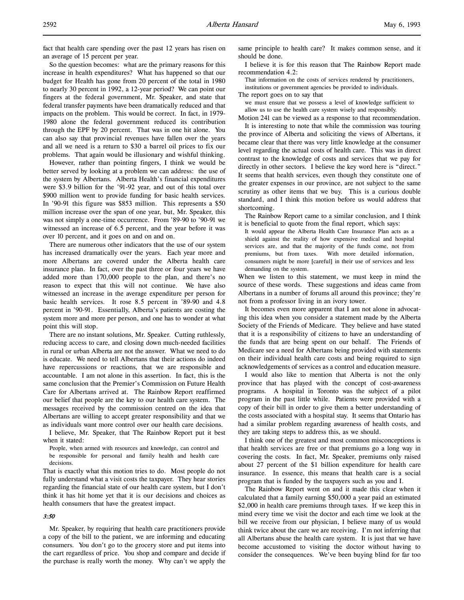fact that health care spending over the past 12 years has risen on an average of 15 percent per year.

So the question becomes: what are the primary reasons for this increase in health expenditures? What has happened so that our budget for Health has gone from 20 percent of the total in 1980 to nearly 30 percent in 1992, a 12-year period? We can point our fingers at the federal government, Mr. Speaker, and state that federal transfer payments have been dramatically reduced and that impacts on the problem. This would be correct. In fact, in 1979- 1980 alone the federal government reduced its contribution through the EPF by 20 percent. That was in one hit alone. You can also say that provincial revenues have fallen over the years and all we need is a return to \$30 a barrel oil prices to fix our problems. That again would be illusionary and wishful thinking.

However, rather than pointing fingers, I think we would be better served by looking at a problem we can address: the use of the system by Albertans. Alberta Health's financial expenditures were \$3.9 billion for the '91-92 year, and out of this total over \$900 million went to provide funding for basic health services. In '90-91 this figure was \$853 million. This represents a \$50 million increase over the span of one year, but, Mr. Speaker, this was not simply a one-time occurrence. From '89-90 to '90-91 we witnessed an increase of 6.5 percent, and the year before it was over 10 percent, and it goes on and on and on.

There are numerous other indicators that the use of our system has increased dramatically over the years. Each year more and more Albertans are covered under the Alberta health care insurance plan. In fact, over the past three or four years we have added more than 170,000 people to the plan, and there's no reason to expect that this will not continue. We have also witnessed an increase in the average expenditure per person for basic health services. It rose 8.5 percent in '89-90 and 4.8 percent in '90-91. Essentially, Alberta's patients are costing the system more and more per person, and one has to wonder at what point this will stop.

There are no instant solutions, Mr. Speaker. Cutting ruthlessly, reducing access to care, and closing down much-needed facilities in rural or urban Alberta are not the answer. What we need to do is educate. We need to tell Albertans that their actions do indeed have repercussions or reactions, that we are responsible and accountable. I am not alone in this assertion. In fact, this is the same conclusion that the Premier's Commission on Future Health Care for Albertans arrived at. The Rainbow Report reaffirmed our belief that people are the key to our health care system. The messages received by the commission centred on the idea that Albertans are willing to accept greater responsibility and that we as individuals want more control over our health care decisions.

I believe, Mr. Speaker, that The Rainbow Report put it best when it stated:

People, when armed with resources and knowledge, can control and be responsible for personal and family health and health care decisions.

That is exactly what this motion tries to do. Most people do not fully understand what a visit costs the taxpayer. They hear stories regarding the financial state of our health care system, but I don't think it has hit home yet that it is our decisions and choices as health consumers that have the greatest impact.

## 3:50

Mr. Speaker, by requiring that health care practitioners provide a copy of the bill to the patient, we are informing and educating consumers. You don't go to the grocery store and put items into the cart regardless of price. You shop and compare and decide if the purchase is really worth the money. Why can't we apply the

same principle to health care? It makes common sense, and it should be done.

I believe it is for this reason that The Rainbow Report made recommendation 4.2:

That information on the costs of services rendered by practitioners, institutions or government agencies be provided to individuals.

The report goes on to say that

we must ensure that we possess a level of knowledge sufficient to allow us to use the health care system wisely and responsibly.

Motion 241 can be viewed as a response to that recommendation. It is interesting to note that while the commission was touring

the province of Alberta and soliciting the views of Albertans, it became clear that there was very little knowledge at the consumer level regarding the actual costs of health care. This was in direct contrast to the knowledge of costs and services that we pay for directly in other sectors. I believe the key word here is "direct." It seems that health services, even though they constitute one of the greater expenses in our province, are not subject to the same scrutiny as other items that we buy. This is a curious double standard, and I think this motion before us would address that shortcoming.

The Rainbow Report came to a similar conclusion, and I think it is beneficial to quote from the final report, which says:

It would appear the Alberta Health Care Insurance Plan acts as a shield against the reality of how expensive medical and hospital services are, and that the majority of the funds come, not from premiums, but from taxes. With more detailed information, consumers might be more [careful] in their use of services and less demanding on the system.

When we listen to this statement, we must keep in mind the source of these words. These suggestions and ideas came from Albertans in a number of forums all around this province; they're not from a professor living in an ivory tower.

It becomes even more apparent that I am not alone in advocating this idea when you consider a statement made by the Alberta Society of the Friends of Medicare. They believe and have stated that it is a responsibility of citizens to have an understanding of the funds that are being spent on our behalf. The Friends of Medicare see a need for Albertans being provided with statements on their individual health care costs and being required to sign acknowledgements of services as a control and education measure.

I would also like to mention that Alberta is not the only province that has played with the concept of cost-awareness programs. A hospital in Toronto was the subject of a pilot program in the past little while. Patients were provided with a copy of their bill in order to give them a better understanding of the costs associated with a hospital stay. It seems that Ontario has had a similar problem regarding awareness of health costs, and they are taking steps to address this, as we should.

I think one of the greatest and most common misconceptions is that health services are free or that premiums go a long way in covering the costs. In fact, Mr. Speaker, premiums only raised about 27 percent of the \$1 billion expenditure for health care insurance. In essence, this means that health care is a social program that is funded by the taxpayers such as you and I.

The Rainbow Report went on and it made this clear when it calculated that a family earning \$50,000 a year paid an estimated \$2,000 in health care premiums through taxes. If we keep this in mind every time we visit the doctor and each time we look at the bill we receive from our physician, I believe many of us would think twice about the care we are receiving. I'm not inferring that all Albertans abuse the health care system. It is just that we have become accustomed to visiting the doctor without having to consider the consequences. We've been buying blind for far too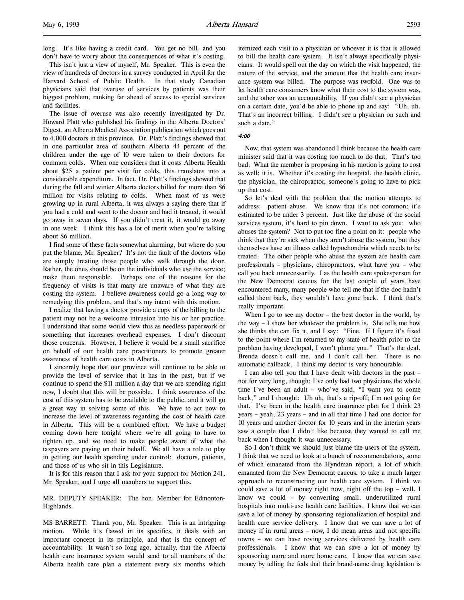This isn't just a view of myself, Mr. Speaker. This is even the view of hundreds of doctors in a survey conducted in April for the Harvard School of Public Health. In that study Canadian physicians said that overuse of services by patients was their biggest problem, ranking far ahead of access to special services and facilities.

The issue of overuse was also recently investigated by Dr. Howard Platt who published his findings in the Alberta Doctors' Digest, an Alberta Medical Association publication which goes out to 4,000 doctors in this province. Dr. Platt's findings showed that in one particular area of southern Alberta 44 percent of the children under the age of 10 were taken to their doctors for common colds. When one considers that it costs Alberta Health about \$25 a patient per visit for colds, this translates into a considerable expenditure. In fact, Dr. Platt's findings showed that during the fall and winter Alberta doctors billed for more than \$6 million for visits relating to colds. When most of us were growing up in rural Alberta, it was always a saying there that if you had a cold and went to the doctor and had it treated, it would go away in seven days. If you didn't treat it, it would go away in one week. I think this has a lot of merit when you're talking about \$6 million.

I find some of these facts somewhat alarming, but where do you put the blame, Mr. Speaker? It's not the fault of the doctors who are simply treating those people who walk through the door. Rather, the onus should be on the individuals who use the service; make them responsible. Perhaps one of the reasons for the frequency of visits is that many are unaware of what they are costing the system. I believe awareness could go a long way to remedying this problem, and that's my intent with this motion.

I realize that having a doctor provide a copy of the billing to the patient may not be a welcome intrusion into his or her practice. I understand that some would view this as needless paperwork or something that increases overhead expenses. I don't discount those concerns. However, I believe it would be a small sacrifice on behalf of our health care practitioners to promote greater awareness of health care costs in Alberta.

I sincerely hope that our province will continue to be able to provide the level of service that it has in the past, but if we continue to spend the \$11 million a day that we are spending right now, I doubt that this will be possible. I think awareness of the cost of this system has to be available to the public, and it will go a great way in solving some of this. We have to act now to increase the level of awareness regarding the cost of health care in Alberta. This will be a combined effort. We have a budget coming down here tonight where we're all going to have to tighten up, and we need to make people aware of what the taxpayers are paying on their behalf. We all have a role to play in getting our health spending under control: doctors, patients, and those of us who sit in this Legislature.

It is for this reason that I ask for your support for Motion 241, Mr. Speaker, and I urge all members to support this.

MR. DEPUTY SPEAKER: The hon. Member for Edmonton-Highlands.

MS BARRETT: Thank you, Mr. Speaker. This is an intriguing motion. While it's flawed in its specifics, it deals with an important concept in its principle, and that is the concept of accountability. It wasn't so long ago, actually, that the Alberta health care insurance system would send to all members of the Alberta health care plan a statement every six months which itemized each visit to a physician or whoever it is that is allowed to bill the health care system. It isn't always specifically physicians. It would spell out the day on which the visit happened, the nature of the service, and the amount that the health care insurance system was billed. The purpose was twofold. One was to let health care consumers know what their cost to the system was, and the other was an accountability. If you didn't see a physician on a certain date, you'd be able to phone up and say: "Uh, uh. That's an incorrect billing. I didn't see a physician on such and such a date."

## 4:00

Now, that system was abandoned I think because the health care minister said that it was costing too much to do that. That's too bad. What the member is proposing in his motion is going to cost as well; it is. Whether it's costing the hospital, the health clinic, the physician, the chiropractor, someone's going to have to pick up that cost.

So let's deal with the problem that the motion attempts to address: patient abuse. We know that it's not common; it's estimated to be under 3 percent. Just like the abuse of the social services system, it's hard to pin down. I want to ask you: who abuses the system? Not to put too fine a point on it: people who think that they're sick when they aren't abuse the system, but they themselves have an illness called hypochondria which needs to be treated. The other people who abuse the system are health care professionals – physicians, chiropractors, what have you – who call you back unnecessarily. I as the health care spokesperson for the New Democrat caucus for the last couple of years have encountered many, many people who tell me that if the doc hadn't called them back, they wouldn't have gone back. I think that's really important.

When I go to see my doctor – the best doctor in the world, by the way – I show her whatever the problem is. She tells me how she thinks she can fix it, and I say: "Fine. If I figure it's fixed to the point where I'm returned to my state of health prior to the problem having developed, I won't phone you." That's the deal. Brenda doesn't call me, and I don't call her. There is no automatic callback. I think my doctor is very honourable.

I can also tell you that I have dealt with doctors in the past – not for very long, though; I've only had two physicians the whole time I've been an adult – who've said, "I want you to come back," and I thought: Uh uh, that's a rip-off; I'm not going for that. I've been in the health care insurance plan for I think 23 years – yeah, 23 years – and in all that time I had one doctor for 10 years and another doctor for 10 years and in the interim years saw a couple that I didn't like because they wanted to call me back when I thought it was unnecessary.

So I don't think we should just blame the users of the system. I think that we need to look at a bunch of recommendations, some of which emanated from the Hyndman report, a lot of which emanated from the New Democrat caucus, to take a much larger approach to reconstructing our health care system. I think we could save a lot of money right now, right off the top – well, I know we could – by converting small, underutilized rural hospitals into multi-use health care facilities. I know that we can save a lot of money by sponsoring regionalization of hospital and health care service delivery. I know that we can save a lot of money if in rural areas – now, I do mean areas and not specific towns – we can have roving services delivered by health care professionals. I know that we can save a lot of money by sponsoring more and more home care. I know that we can save money by telling the feds that their brand-name drug legislation is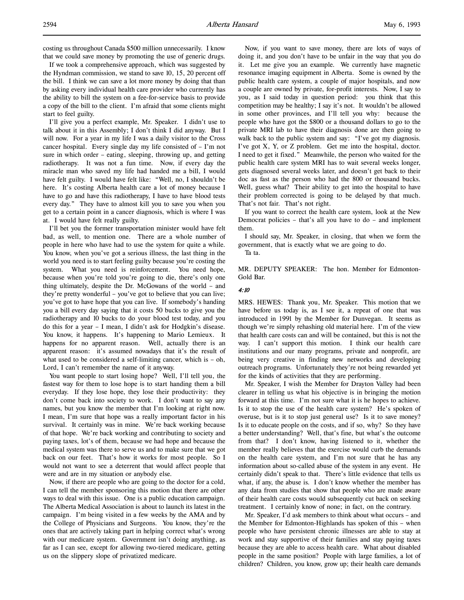If we took a comprehensive approach, which was suggested by the Hyndman commission, we stand to save 10, 15, 20 percent off the bill. I think we can save a lot more money by doing that than by asking every individual health care provider who currently has the ability to bill the system on a fee-for-service basis to provide a copy of the bill to the client. I'm afraid that some clients might start to feel guilty.

I'll give you a perfect example, Mr. Speaker. I didn't use to talk about it in this Assembly; I don't think I did anyway. But I will now. For a year in my life I was a daily visitor to the Cross cancer hospital. Every single day my life consisted of – I'm not sure in which order – eating, sleeping, throwing up, and getting radiotherapy. It was not a fun time. Now, if every day the miracle man who saved my life had handed me a bill, I would have felt guilty. I would have felt like: "Well, no, I shouldn't be here. It's costing Alberta health care a lot of money because I have to go and have this radiotherapy, I have to have blood tests every day." They have to almost kill you to save you when you get to a certain point in a cancer diagnosis, which is where I was at. I would have felt really guilty.

I'll bet you the former transportation minister would have felt bad, as well, to mention one. There are a whole number of people in here who have had to use the system for quite a while. You know, when you've got a serious illness, the last thing in the world you need is to start feeling guilty because you're costing the system. What you need is reinforcement. You need hope, because when you're told you're going to die, there's only one thing ultimately, despite the Dr. McGowans of the world – and they're pretty wonderful – you've got to believe that you can live; you've got to have hope that you can live. If somebody's handing you a bill every day saying that it costs 50 bucks to give you the radiotherapy and 10 bucks to do your blood test today, and you do this for a year – I mean, I didn't ask for Hodgkin's disease. You know, it happens. It's happening to Mario Lemieux. It happens for no apparent reason. Well, actually there is an apparent reason: it's assumed nowadays that it's the result of what used to be considered a self-limiting cancer, which is – oh, Lord, I can't remember the name of it anyway.

You want people to start losing hope? Well, I'll tell you, the fastest way for them to lose hope is to start handing them a bill everyday. If they lose hope, they lose their productivity: they don't come back into society to work. I don't want to say any names, but you know the member that I'm looking at right now. I mean, I'm sure that hope was a really important factor in his survival. It certainly was in mine. We're back working because of that hope. We're back working and contributing to society and paying taxes, lot's of them, because we had hope and because the medical system was there to serve us and to make sure that we got back on our feet. That's how it works for most people. So I would not want to see a deterrent that would affect people that were and are in my situation or anybody else.

Now, if there are people who are going to the doctor for a cold, I can tell the member sponsoring this motion that there are other ways to deal with this issue. One is a public education campaign. The Alberta Medical Association is about to launch its latest in the campaign. I'm being visited in a few weeks by the AMA and by the College of Physicians and Surgeons. You know, they're the ones that are actively taking part in helping correct what's wrong with our medicare system. Government isn't doing anything, as far as I can see, except for allowing two-tiered medicare, getting us on the slippery slope of privatized medicare.

Now, if you want to save money, there are lots of ways of doing it, and you don't have to be unfair in the way that you do it. Let me give you an example. We currently have magnetic resonance imaging equipment in Alberta. Some is owned by the public health care system, a couple of major hospitals, and now a couple are owned by private, for-profit interests. Now, I say to you, as I said today in question period: you think that this competition may be healthy; I say it's not. It wouldn't be allowed in some other provinces, and I'll tell you why: because the people who have got the \$800 or a thousand dollars to go to the private MRI lab to have their diagnosis done are then going to walk back to the public system and say: "I've got my diagnosis. I've got X, Y, or Z problem. Get me into the hospital, doctor. I need to get it fixed." Meanwhile, the person who waited for the public health care system MRI has to wait several weeks longer, gets diagnosed several weeks later, and doesn't get back to their doc as fast as the person who had the 800 or thousand bucks. Well, guess what? Their ability to get into the hospital to have their problem corrected is going to be delayed by that much. That's not fair. That's not right.

If you want to correct the health care system, look at the New Democrat policies – that's all you have to do – and implement them.

I should say, Mr. Speaker, in closing, that when we form the government, that is exactly what we are going to do.

Ta ta.

MR. DEPUTY SPEAKER: The hon. Member for Edmonton-Gold Bar.

#### 4:10

MRS. HEWES: Thank you, Mr. Speaker. This motion that we have before us today is, as I see it, a repeat of one that was introduced in 1991 by the Member for Dunvegan. It seems as though we're simply rehashing old material here. I'm of the view that health care costs can and will be contained, but this is not the way. I can't support this motion. I think our health care institutions and our many programs, private and nonprofit, are being very creative in finding new networks and developing outreach programs. Unfortunately they're not being rewarded yet for the kinds of activities that they are performing.

Mr. Speaker, I wish the Member for Drayton Valley had been clearer in telling us what his objective is in bringing the motion forward at this time. I'm not sure what it is he hopes to achieve. Is it to stop the use of the health care system? He's spoken of overuse, but is it to stop just general use? Is it to save money? Is it to educate people on the costs, and if so, why? So they have a better understanding? Well, that's fine, but what's the outcome from that? I don't know, having listened to it, whether the member really believes that the exercise would curb the demands on the health care system, and I'm not sure that he has any information about so-called abuse of the system in any event. He certainly didn't speak to that. There's little evidence that tells us what, if any, the abuse is. I don't know whether the member has any data from studies that show that people who are made aware of their health care costs would subsequently cut back on seeking treatment. I certainly know of none; in fact, on the contrary.

Mr. Speaker, I'd ask members to think about what occurs – and the Member for Edmonton-Highlands has spoken of this – when people who have persistent chronic illnesses are able to stay at work and stay supportive of their families and stay paying taxes because they are able to access health care. What about disabled people in the same position? People with large families, a lot of children? Children, you know, grow up; their health care demands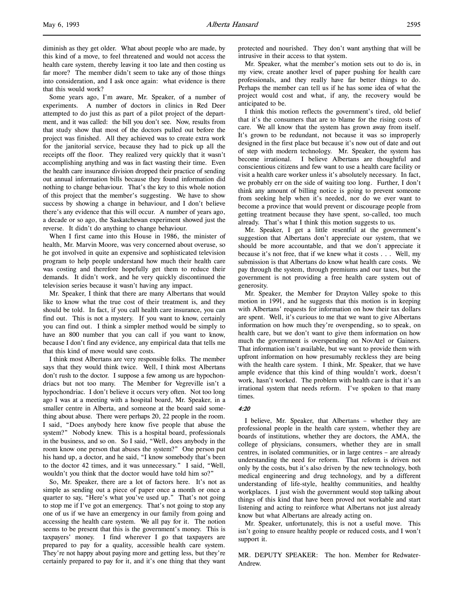l,

diminish as they get older. What about people who are made, by this kind of a move, to feel threatened and would not access the health care system, thereby leaving it too late and then costing us far more? The member didn't seem to take any of those things into consideration, and I ask once again: what evidence is there that this would work?

Some years ago, I'm aware, Mr. Speaker, of a number of experiments. A number of doctors in clinics in Red Deer attempted to do just this as part of a pilot project of the department, and it was called: the bill you don't see. Now, results from that study show that most of the doctors pulled out before the project was finished. All they achieved was to create extra work for the janitorial service, because they had to pick up all the receipts off the floor. They realized very quickly that it wasn't accomplishing anything and was in fact wasting their time. Even the health care insurance division dropped their practice of sending out annual information bills because they found information did nothing to change behaviour. That's the key to this whole notion of this project that the member's suggesting. We have to show success by showing a change in behaviour, and I don't believe there's any evidence that this will occur. A number of years ago, a decade or so ago, the Saskatchewan experiment showed just the reverse. It didn't do anything to change behaviour.

When I first came into this House in 1986, the minister of health, Mr. Marvin Moore, was very concerned about overuse, so he got involved in quite an expensive and sophisticated television program to help people understand how much their health care was costing and therefore hopefully get them to reduce their demands. It didn't work, and he very quickly discontinued the television series because it wasn't having any impact.

Mr. Speaker, I think that there are many Albertans that would like to know what the true cost of their treatment is, and they should be told. In fact, if you call health care insurance, you can find out. This is not a mystery. If you want to know, certainly you can find out. I think a simpler method would be simply to have an 800 number that you can call if you want to know, because I don't find any evidence, any empirical data that tells me that this kind of move would save costs.

I think most Albertans are very responsible folks. The member says that they would think twice. Well, I think most Albertans don't rush to the doctor. I suppose a few among us are hypochondriacs but not too many. The Member for Vegreville isn't a hypochondriac. I don't believe it occurs very often. Not too long ago I was at a meeting with a hospital board, Mr. Speaker, in a smaller centre in Alberta, and someone at the board said something about abuse. There were perhaps 20, 22 people in the room. I said, "Does anybody here know five people that abuse the system?" Nobody knew. This is a hospital board, professionals in the business, and so on. So I said, "Well, does anybody in the room know one person that abuses the system?" One person put his hand up, a doctor, and he said, "I know somebody that's been to the doctor 42 times, and it was unnecessary." I said, "Well, wouldn't you think that the doctor would have told him so?"

So, Mr. Speaker, there are a lot of factors here. It's not as simple as sending out a piece of paper once a month or once a quarter to say, "Here's what you've used up." That's not going to stop me if I've got an emergency. That's not going to stop any one of us if we have an emergency in our family from going and accessing the health care system. We all pay for it. The notion seems to be present that this is the government's money. This is taxpayers' money. I find wherever I go that taxpayers are prepared to pay for a quality, accessible health care system. They're not happy about paying more and getting less, but they're certainly prepared to pay for it, and it's one thing that they want

protected and nourished. They don't want anything that will be intrusive in their access to that system.

Mr. Speaker, what the member's motion sets out to do is, in my view, create another level of paper pushing for health care professionals, and they really have far better things to do. Perhaps the member can tell us if he has some idea of what the project would cost and what, if any, the recovery would be anticipated to be.

I think this motion reflects the government's tired, old belief that it's the consumers that are to blame for the rising costs of care. We all know that the system has grown away from itself. It's grown to be redundant, not because it was so improperly designed in the first place but because it's now out of date and out of step with modern technology. Mr. Speaker, the system has become irrational. I believe Albertans are thoughtful and conscientious citizens and few want to use a health care facility or visit a health care worker unless it's absolutely necessary. In fact, we probably err on the side of waiting too long. Further, I don't think any amount of billing notice is going to prevent someone from seeking help when it's needed, nor do we ever want to become a province that would prevent or discourage people from getting treatment because they have spent, so-called, too much already. That's what I think this motion suggests to us.

Mr. Speaker, I get a little resentful at the government's suggestion that Albertans don't appreciate our system, that we should be more accountable, and that we don't appreciate it because it's not free, that if we knew what it costs . . . Well, my submission is that Albertans do know what health care costs. We pay through the system, through premiums and our taxes, but the government is not providing a free health care system out of generosity.

Mr. Speaker, the Member for Drayton Valley spoke to this motion in 1991, and he suggests that this motion is in keeping with Albertans' requests for information on how their tax dollars are spent. Well, it's curious to me that we want to give Albertans information on how much they're overspending, so to speak, on health care, but we don't want to give them information on how much the government is overspending on NovAtel or Gainers. That information isn't available, but we want to provide them with upfront information on how presumably reckless they are being with the health care system. I think, Mr. Speaker, that we have ample evidence that this kind of thing wouldn't work, doesn't work, hasn't worked. The problem with health care is that it's an irrational system that needs reform. I've spoken to that many times.

## 4:20

I believe, Mr. Speaker, that Albertans – whether they are professional people in the health care system, whether they are boards of institutions, whether they are doctors, the AMA, the college of physicians, consumers, whether they are in small centres, in isolated communities, or in large centres – are already understanding the need for reform. That reform is driven not only by the costs, but it's also driven by the new technology, both medical engineering and drug technology, and by a different understanding of life-style, healthy communities, and healthy workplaces. I just wish the government would stop talking about things of this kind that have been proved not workable and start listening and acting to reinforce what Albertans not just already know but what Albertans are already acting on.

Mr. Speaker, unfortunately, this is not a useful move. This isn't going to ensure healthy people or reduced costs, and I won't support it.

MR. DEPUTY SPEAKER: The hon. Member for Redwater-Andrew.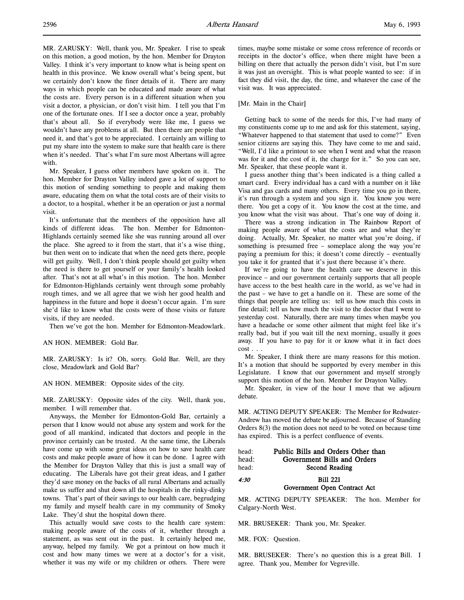MR. ZARUSKY: Well, thank you, Mr. Speaker. I rise to speak on this motion, a good motion, by the hon. Member for Drayton Valley. I think it's very important to know what is being spent on health in this province. We know overall what's being spent, but we certainly don't know the finer details of it. There are many ways in which people can be educated and made aware of what the costs are. Every person is in a different situation when you visit a doctor, a physician, or don't visit him. I tell you that I'm one of the fortunate ones. If I see a doctor once a year, probably that's about all. So if everybody were like me, I guess we wouldn't have any problems at all. But then there are people that need it, and that's got to be appreciated. I certainly am willing to put my share into the system to make sure that health care is there when it's needed. That's what I'm sure most Albertans will agree with.

Mr. Speaker, I guess other members have spoken on it. The hon. Member for Drayton Valley indeed gave a lot of support to this motion of sending something to people and making them aware, educating them on what the total costs are of their visits to a doctor, to a hospital, whether it be an operation or just a normal visit.

It's unfortunate that the members of the opposition have all kinds of different ideas. The hon. Member for Edmonton-Highlands certainly seemed like she was running around all over the place. She agreed to it from the start, that it's a wise thing, but then went on to indicate that when the need gets there, people will get guilty. Well, I don't think people should get guilty when the need is there to get yourself or your family's health looked after. That's not at all what's in this motion. The hon. Member for Edmonton-Highlands certainly went through some probably rough times, and we all agree that we wish her good health and happiness in the future and hope it doesn't occur again. I'm sure she'd like to know what the costs were of those visits or future visits, if they are needed.

Then we've got the hon. Member for Edmonton-Meadowlark.

## AN HON. MEMBER: Gold Bar.

MR. ZARUSKY: Is it? Oh, sorry. Gold Bar. Well, are they close, Meadowlark and Gold Bar?

#### AN HON. MEMBER: Opposite sides of the city.

MR. ZARUSKY: Opposite sides of the city. Well, thank you, member. I will remember that.

Anyways, the Member for Edmonton-Gold Bar, certainly a person that I know would not abuse any system and work for the good of all mankind, indicated that doctors and people in the province certainly can be trusted. At the same time, the Liberals have come up with some great ideas on how to save health care costs and make people aware of how it can be done. I agree with the Member for Drayton Valley that this is just a small way of educating. The Liberals have got their great ideas, and I gather they'd save money on the backs of all rural Albertans and actually make us suffer and shut down all the hospitals in the rinky-dinky towns. That's part of their savings to our health care, begrudging my family and myself health care in my community of Smoky Lake. They'd shut the hospital down there.

This actually would save costs to the health care system: making people aware of the costs of it, whether through a statement, as was sent out in the past. It certainly helped me, anyway, helped my family. We got a printout on how much it cost and how many times we were at a doctor's for a visit, whether it was my wife or my children or others. There were

times, maybe some mistake or some cross reference of records or receipts in the doctor's office, when there might have been a billing on there that actually the person didn't visit, but I'm sure it was just an oversight. This is what people wanted to see: if in fact they did visit, the day, the time, and whatever the case of the visit was. It was appreciated.

#### [Mr. Main in the Chair]

Getting back to some of the needs for this, I've had many of my constituents come up to me and ask for this statement, saying, "Whatever happened to that statement that used to come?" Even senior citizens are saying this. They have come to me and said, "Well, I'd like a printout to see when I went and what the reason was for it and the cost of it, the charge for it." So you can see, Mr. Speaker, that these people want it.

I guess another thing that's been indicated is a thing called a smart card. Every individual has a card with a number on it like Visa and gas cards and many others. Every time you go in there, it's run through a system and you sign it. You know you were there. You get a copy of it. You know the cost at the time, and you know what the visit was about. That's one way of doing it.

There was a strong indication in The Rainbow Report of making people aware of what the costs are and what they're doing. Actually, Mr. Speaker, no matter what you're doing, if something is presumed free – someplace along the way you're paying a premium for this; it doesn't come directly – eventually you take it for granted that it's just there because it's there.

If we're going to have the health care we deserve in this province – and our government certainly supports that all people have access to the best health care in the world, as we've had in the past – we have to get a handle on it. These are some of the things that people are telling us: tell us how much this costs in fine detail; tell us how much the visit to the doctor that I went to yesterday cost. Naturally, there are many times when maybe you have a headache or some other ailment that might feel like it's really bad, but if you wait till the next morning, usually it goes away. If you have to pay for it or know what it in fact does cost . . .

Mr. Speaker, I think there are many reasons for this motion. It's a motion that should be supported by every member in this Legislature. I know that our government and myself strongly support this motion of the hon. Member for Drayton Valley.

Mr. Speaker, in view of the hour I move that we adjourn debate.

MR. ACTING DEPUTY SPEAKER: The Member for Redwater-Andrew has moved the debate be adjourned. Because of Standing Orders 8(3) the motion does not need to be voted on because time has expired. This is a perfect confluence of events.

| head: | Public Bills and Orders Other than |
|-------|------------------------------------|
| head: | Government Bills and Orders        |
| head: | Second Reading                     |
| 4:30  | <b>Bill 221</b>                    |
|       | Government Open Contract Act       |

MR. ACTING DEPUTY SPEAKER: The hon. Member for Calgary-North West.

MR. BRUSEKER: Thank you, Mr. Speaker.

MR. FOX: Question.

MR. BRUSEKER: There's no question this is a great Bill. I agree. Thank you, Member for Vegreville.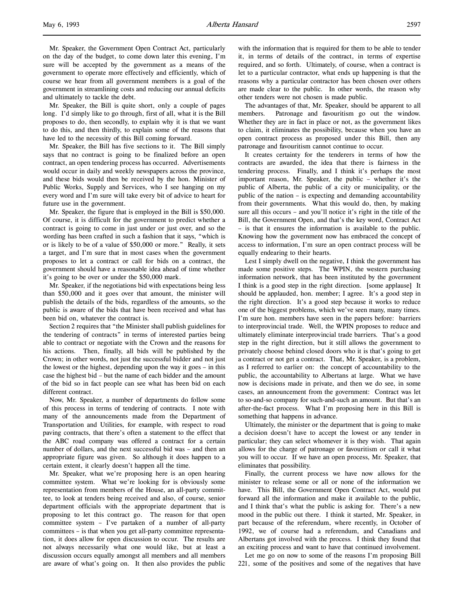Mr. Speaker, the Government Open Contract Act, particularly on the day of the budget, to come down later this evening, I'm sure will be accepted by the government as a means of the government to operate more effectively and efficiently, which of course we hear from all government members is a goal of the government in streamlining costs and reducing our annual deficits and ultimately to tackle the debt.

Mr. Speaker, the Bill is quite short, only a couple of pages long. I'd simply like to go through, first of all, what it is the Bill proposes to do, then secondly, to explain why it is that we want to do this, and then thirdly, to explain some of the reasons that have led to the necessity of this Bill coming forward.

Mr. Speaker, the Bill has five sections to it. The Bill simply says that no contract is going to be finalized before an open contract, an open tendering process has occurred. Advertisements would occur in daily and weekly newspapers across the province, and these bids would then be received by the hon. Minister of Public Works, Supply and Services, who I see hanging on my every word and I'm sure will take every bit of advice to heart for future use in the government.

Mr. Speaker, the figure that is employed in the Bill is \$50,000. Of course, it is difficult for the government to predict whether a contract is going to come in just under or just over, and so the wording has been crafted in such a fashion that it says, "which is or is likely to be of a value of \$50,000 or more." Really, it sets a target, and I'm sure that in most cases when the government proposes to let a contract or call for bids on a contract, the government should have a reasonable idea ahead of time whether it's going to be over or under the \$50,000 mark.

Mr. Speaker, if the negotiations bid with expectations being less than \$50,000 and it goes over that amount, the minister will publish the details of the bids, regardless of the amounts, so the public is aware of the bids that have been received and what has been bid on, whatever the contract is.

Section 2 requires that "the Minister shall publish guidelines for the tendering of contracts" in terms of interested parties being able to contract or negotiate with the Crown and the reasons for his actions. Then, finally, all bids will be published by the Crown; in other words, not just the successful bidder and not just the lowest or the highest, depending upon the way it goes – in this case the highest bid – but the name of each bidder and the amount of the bid so in fact people can see what has been bid on each different contract.

Now, Mr. Speaker, a number of departments do follow some of this process in terms of tendering of contracts. I note with many of the announcements made from the Department of Transportation and Utilities, for example, with respect to road paving contracts, that there's often a statement to the effect that the ABC road company was offered a contract for a certain number of dollars, and the next successful bid was – and then an appropriate figure was given. So although it does happen to a certain extent, it clearly doesn't happen all the time.

Mr. Speaker, what we're proposing here is an open hearing committee system. What we're looking for is obviously some representation from members of the House, an all-party committee, to look at tenders being received and also, of course, senior department officials with the appropriate department that is proposing to let this contract go. The reason for that open committee system – I've partaken of a number of all-party committees – is that when you get all-party committee representation, it does allow for open discussion to occur. The results are not always necessarily what one would like, but at least a discussion occurs equally amongst all members and all members are aware of what's going on. It then also provides the public with the information that is required for them to be able to tender it, in terms of details of the contract, in terms of expertise required, and so forth. Ultimately, of course, when a contract is let to a particular contractor, what ends up happening is that the reasons why a particular contractor has been chosen over others are made clear to the public. In other words, the reason why other tenders were not chosen is made public.

The advantages of that, Mr. Speaker, should be apparent to all members. Patronage and favouritism go out the window. Whether they are in fact in place or not, as the government likes to claim, it eliminates the possibility, because when you have an open contract process as proposed under this Bill, then any patronage and favouritism cannot continue to occur.

It creates certainty for the tenderers in terms of how the contracts are awarded, the idea that there is fairness in the tendering process. Finally, and I think it's perhaps the most important reason, Mr. Speaker, the public – whether it's the public of Alberta, the public of a city or municipality, or the public of the nation – is expecting and demanding accountability from their governments. What this would do, then, by making sure all this occurs – and you'll notice it's right in the title of the Bill, the Government Open, and that's the key word, Contract Act – is that it ensures the information is available to the public. Knowing how the government now has embraced the concept of access to information, I'm sure an open contract process will be equally endearing to their hearts.

Lest I simply dwell on the negative, I think the government has made some positive steps. The WPIN, the western purchasing information network, that has been instituted by the government I think is a good step in the right direction. [some applause] It should be applauded, hon. member; I agree. It's a good step in the right direction. It's a good step because it works to reduce one of the biggest problems, which we've seen many, many times. I'm sure hon. members have seen in the papers before: barriers to interprovincial trade. Well, the WPIN proposes to reduce and ultimately eliminate interprovincial trade barriers. That's a good step in the right direction, but it still allows the government to privately choose behind closed doors who it is that's going to get a contract or not get a contract. That, Mr. Speaker, is a problem, as I referred to earlier on: the concept of accountability to the public, the accountability to Albertans at large. What we have now is decisions made in private, and then we do see, in some cases, an announcement from the government: Contract was let to so-and-so company for such-and-such an amount. But that's an after-the-fact process. What I'm proposing here in this Bill is something that happens in advance.

Ultimately, the minister or the department that is going to make a decision doesn't have to accept the lowest or any tender in particular; they can select whomever it is they wish. That again allows for the charge of patronage or favouritism or call it what you will to occur. If we have an open process, Mr. Speaker, that eliminates that possibility.

Finally, the current process we have now allows for the minister to release some or all or none of the information we have. This Bill, the Government Open Contract Act, would put forward all the information and make it available to the public, and I think that's what the public is asking for. There's a new mood in the public out there. I think it started, Mr. Speaker, in part because of the referendum, where recently, in October of 1992, we of course had a referendum, and Canadians and Albertans got involved with the process. I think they found that an exciting process and want to have that continued involvement.

Let me go on now to some of the reasons I'm proposing Bill 221, some of the positives and some of the negatives that have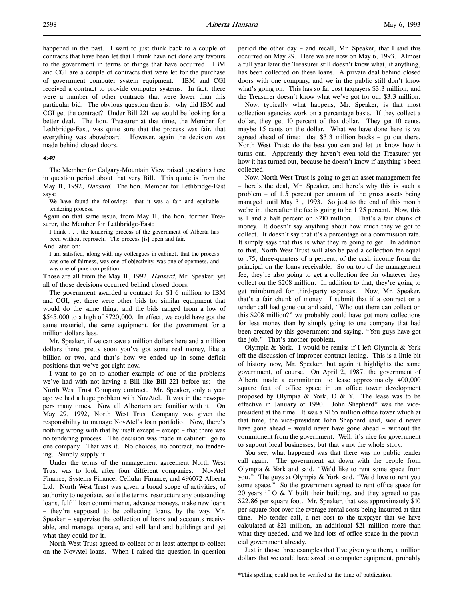happened in the past. I want to just think back to a couple of contracts that have been let that I think have not done any favours to the government in terms of things that have occurred. IBM and CGI are a couple of contracts that were let for the purchase of government computer system equipment. IBM and CGI received a contract to provide computer systems. In fact, there were a number of other contracts that were lower than this particular bid. The obvious question then is: why did IBM and CGI get the contract? Under Bill 221 we would be looking for a

better deal. The hon. Treasurer at that time, the Member for Lethbridge-East, was quite sure that the process was fair, that everything was aboveboard. However, again the decision was made behind closed doors.

#### 4:40

The Member for Calgary-Mountain View raised questions here in question period about that very Bill. This quote is from the May 11, 1992, Hansard. The hon. Member for Lethbridge-East says:

We have found the following: that it was a fair and equitable tendering process.

Again on that same issue, from May 11, the hon. former Treasurer, the Member for Lethbridge-East:

I think . . . the tendering process of the government of Alberta has been without reproach. The process [is] open and fair.

And later on:

I am satisfied, along with my colleagues in cabinet, that the process was one of fairness, was one of objectivity, was one of openness, and was one of pure competition.

Those are all from the May 11, 1992, Hansard, Mr. Speaker, yet all of those decisions occurred behind closed doors.

The government awarded a contract for \$1.6 million to IBM and CGI, yet there were other bids for similar equipment that would do the same thing, and the bids ranged from a low of \$545,000 to a high of \$720,000. In effect, we could have got the same materiel, the same equipment, for the government for a million dollars less.

Mr. Speaker, if we can save a million dollars here and a million dollars there, pretty soon you've got some real money, like a billion or two, and that's how we ended up in some deficit positions that we've got right now.

I want to go on to another example of one of the problems we've had with not having a Bill like Bill 221 before us: the North West Trust Company contract. Mr. Speaker, only a year ago we had a huge problem with NovAtel. It was in the newspapers many times. Now all Albertans are familiar with it. On May 29, 1992, North West Trust Company was given the responsibility to manage NovAtel's loan portfolio. Now, there's nothing wrong with that by itself except – except – that there was no tendering process. The decision was made in cabinet: go to one company. That was it. No choices, no contract, no tendering. Simply supply it.

Under the terms of the management agreement North West Trust was to look after four different companies: NovAtel Finance, Systems Finance, Cellular Finance, and 496072 Alberta Ltd. North West Trust was given a broad scope of activities, of authority to negotiate, settle the terms, restructure any outstanding loans, fulfill loan commitments, advance moneys, make new loans – they're supposed to be collecting loans, by the way, Mr. Speaker – supervise the collection of loans and accounts receivable, and manage, operate, and sell land and buildings and get what they could for it.

North West Trust agreed to collect or at least attempt to collect on the NovAtel loans. When I raised the question in question

period the other day – and recall, Mr. Speaker, that I said this occurred on May 29. Here we are now on May 6, 1993. Almost a full year later the Treasurer still doesn't know what, if anything, has been collected on these loans. A private deal behind closed doors with one company, and we in the public still don't know what's going on. This has so far cost taxpayers \$3.3 million, and the Treasurer doesn't know what we've got for our \$3.3 million.

Now, typically what happens, Mr. Speaker, is that most collection agencies work on a percentage basis. If they collect a dollar, they get 10 percent of that dollar. They get 10 cents, maybe 15 cents on the dollar. What we have done here is we agreed ahead of time: that \$3.3 million bucks – go out there, North West Trust; do the best you can and let us know how it turns out. Apparently they haven't even told the Treasurer yet how it has turned out, because he doesn't know if anything's been collected.

Now, North West Trust is going to get an asset management fee – here's the deal, Mr. Speaker, and here's why this is such a problem – of 1.5 percent per annum of the gross assets being managed until May 31, 1993. So just to the end of this month we're in; thereafter the fee is going to be 1.25 percent. Now, this is 1 and a half percent on \$210 million. That's a fair chunk of money. It doesn't say anything about how much they've got to collect. It doesn't say that it's a percentage or a commission rate. It simply says that this is what they're going to get. In addition to that, North West Trust will also be paid a collection fee equal to .75, three-quarters of a percent, of the cash income from the principal on the loans receivable. So on top of the management fee, they're also going to get a collection fee for whatever they collect on the \$208 million. In addition to that, they're going to get reimbursed for third-party expenses. Now, Mr. Speaker, that's a fair chunk of money. I submit that if a contract or a tender call had gone out and said, "Who out there can collect on this \$208 million?" we probably could have got more collections for less money than by simply going to one company that had been created by this government and saying, "You guys have got the job." That's another problem.

Olympia & York. I would be remiss if I left Olympia & York off the discussion of improper contract letting. This is a little bit of history now, Mr. Speaker, but again it highlights the same government, of course. On April 2, 1987, the government of Alberta made a commitment to lease approximately 400,000 square feet of office space in an office tower development proposed by Olympia & York, O & Y. The lease was to be effective in January of 1990. John Shepherd\* was the vicepresident at the time. It was a \$165 million office tower which at that time, the vice-president John Shepherd said, would never have gone ahead – would never have gone ahead – without the commitment from the government. Well, it's nice for government to support local businesses, but that's not the whole story.

You see, what happened was that there was no public tender call again. The government sat down with the people from Olympia & York and said, "We'd like to rent some space from you." The guys at Olympia & York said, "We'd love to rent you some space." So the government agreed to rent office space for 20 years if  $O & Y$  built their building, and they agreed to pay \$22.86 per square foot. Mr. Speaker, that was approximately \$10 per square foot over the average rental costs being incurred at that time. No tender call, a net cost to the taxpayer that we have calculated at \$21 million, an additional \$21 million more than what they needed, and we had lots of office space in the provincial government already.

Just in those three examples that I've given you there, a million dollars that we could have saved on computer equipment, probably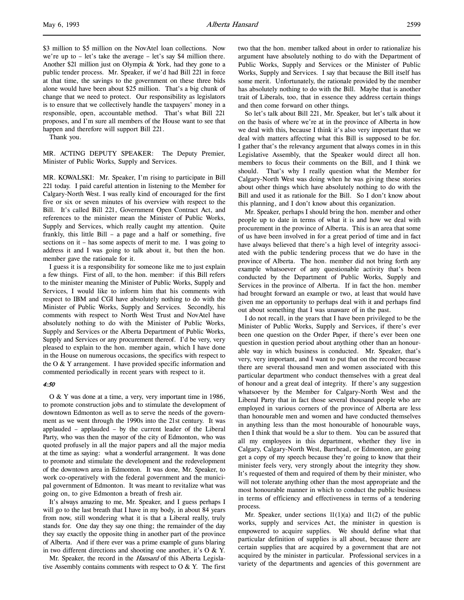\$3 million to \$5 million on the NovAtel loan collections. Now we're up to – let's take the average – let's say \$4 million there. Another \$21 million just on Olympia & York, had they gone to a public tender process. Mr. Speaker, if we'd had Bill 221 in force at that time, the savings to the government on these three bids alone would have been about \$25 million. That's a big chunk of change that we need to protect. Our responsibility as legislators is to ensure that we collectively handle the taxpayers' money in a responsible, open, accountable method. That's what Bill 221 proposes, and I'm sure all members of the House want to see that happen and therefore will support Bill 221.

Thank you.

MR. ACTING DEPUTY SPEAKER: The Deputy Premier, Minister of Public Works, Supply and Services.

MR. KOWALSKI: Mr. Speaker, I'm rising to participate in Bill 221 today. I paid careful attention in listening to the Member for Calgary-North West. I was really kind of encouraged for the first five or six or seven minutes of his overview with respect to the Bill. It's called Bill 221, Government Open Contract Act, and references to the minister mean the Minister of Public Works, Supply and Services, which really caught my attention. Quite frankly, this little Bill – a page and a half or something, five sections on it – has some aspects of merit to me. I was going to address it and I was going to talk about it, but then the hon. member gave the rationale for it.

I guess it is a responsibility for someone like me to just explain a few things. First of all, to the hon. member: if this Bill refers to the minister meaning the Minister of Public Works, Supply and Services, I would like to inform him that his comments with respect to IBM and CGI have absolutely nothing to do with the Minister of Public Works, Supply and Services. Secondly, his comments with respect to North West Trust and NovAtel have absolutely nothing to do with the Minister of Public Works, Supply and Services or the Alberta Department of Public Works, Supply and Services or any procurement thereof. I'd be very, very pleased to explain to the hon. member again, which I have done in the House on numerous occasions, the specifics with respect to the O & Y arrangement. I have provided specific information and commented periodically in recent years with respect to it.

#### 4:50

O & Y was done at a time, a very, very important time in 1986, to promote construction jobs and to stimulate the development of downtown Edmonton as well as to serve the needs of the government as we went through the 1990s into the 21st century. It was applauded – applauded – by the current leader of the Liberal Party, who was then the mayor of the city of Edmonton, who was quoted profusely in all the major papers and all the major media at the time as saying: what a wonderful arrangement. It was done to promote and stimulate the development and the redevelopment of the downtown area in Edmonton. It was done, Mr. Speaker, to work co-operatively with the federal government and the municipal government of Edmonton. It was meant to revitalize what was going on, to give Edmonton a breath of fresh air.

It's always amazing to me, Mr. Speaker, and I guess perhaps I will go to the last breath that I have in my body, in about 84 years from now, still wondering what it is that a Liberal really, truly stands for. One day they say one thing; the remainder of the day they say exactly the opposite thing in another part of the province of Alberta. And if there ever was a prime example of guns blaring in two different directions and shooting one another, it's O & Y.

Mr. Speaker, the record in the *Hansard* of this Alberta Legislative Assembly contains comments with respect to  $O & Y$ . The first two that the hon. member talked about in order to rationalize his argument have absolutely nothing to do with the Department of Public Works, Supply and Services or the Minister of Public Works, Supply and Services. I say that because the Bill itself has some merit. Unfortunately, the rationale provided by the member has absolutely nothing to do with the Bill. Maybe that is another trait of Liberals, too, that in essence they address certain things and then come forward on other things.

So let's talk about Bill 221, Mr. Speaker, but let's talk about it on the basis of where we're at in the province of Alberta in how we deal with this, because I think it's also very important that we deal with matters affecting what this Bill is supposed to be for. I gather that's the relevancy argument that always comes in in this Legislative Assembly, that the Speaker would direct all hon. members to focus their comments on the Bill, and I think we should. That's why I really question what the Member for Calgary-North West was doing when he was giving these stories about other things which have absolutely nothing to do with the Bill and used it as rationale for the Bill. So I don't know about this planning, and I don't know about this organization.

Mr. Speaker, perhaps I should bring the hon. member and other people up to date in terms of what it is and how we deal with procurement in the province of Alberta. This is an area that some of us have been involved in for a great period of time and in fact have always believed that there's a high level of integrity associated with the public tendering process that we do have in the province of Alberta. The hon. member did not bring forth any example whatsoever of any questionable activity that's been conducted by the Department of Public Works, Supply and Services in the province of Alberta. If in fact the hon. member had brought forward an example or two, at least that would have given me an opportunity to perhaps deal with it and perhaps find out about something that I was unaware of in the past.

I do not recall, in the years that I have been privileged to be the Minister of Public Works, Supply and Services, if there's ever been one question on the Order Paper, if there's ever been one question in question period about anything other than an honourable way in which business is conducted. Mr. Speaker, that's very, very important, and I want to put that on the record because there are several thousand men and women associated with this particular department who conduct themselves with a great deal of honour and a great deal of integrity. If there's any suggestion whatsoever by the Member for Calgary-North West and the Liberal Party that in fact those several thousand people who are employed in various corners of the province of Alberta are less than honourable men and women and have conducted themselves in anything less than the most honourable of honourable ways, then I think that would be a slur to them. You can be assured that all my employees in this department, whether they live in Calgary, Calgary-North West, Barrhead, or Edmonton, are going get a copy of my speech because they're going to know that their minister feels very, very strongly about the integrity they show. It's requested of them and required of them by their minister, who will not tolerate anything other than the most appropriate and the most honourable manner in which to conduct the public business in terms of efficiency and effectiveness in terms of a tendering process.

Mr. Speaker, under sections  $11(1)(a)$  and  $11(2)$  of the public works, supply and services Act, the minister in question is empowered to acquire supplies. We should define what that particular definition of supplies is all about, because there are certain supplies that are acquired by a government that are not acquired by the minister in particular. Professional services in a variety of the departments and agencies of this government are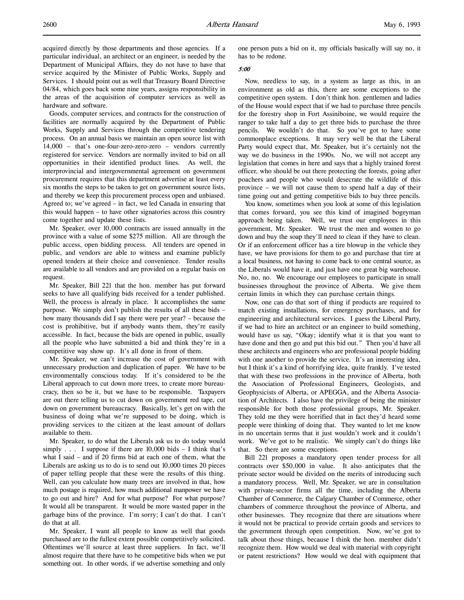Goods, computer services, and contracts for the construction of facilities are normally acquired by the Department of Public Works, Supply and Services through the competitive tendering process. On an annual basis we maintain an open source list with 14,000 – that's one-four-zero-zero-zero – vendors currently registered for service. Vendors are normally invited to bid on all opportunities in their identified product lines. As well, the interprovincial and intergovernmental agreement on government procurement requires that this department advertise at least every six months the steps to be taken to get on government source lists, and thereby we keep this procurement process open and unbiased. Agreed to; we've agreed – in fact, we led Canada in ensuring that this would happen – to have other signatories across this country come together and update these lists.

Mr. Speaker, over 10,000 contracts are issued annually in the province with a value of some \$275 million. All are through the public access, open bidding process. All tenders are opened in public, and vendors are able to witness and examine publicly opened tenders at their choice and convenience. Tender results are available to all vendors and are provided on a regular basis on request.

Mr. Speaker, Bill 221 that the hon. member has put forward seeks to have all qualifying bids received for a tender published. Well, the process is already in place. It accomplishes the same purpose. We simply don't publish the results of all these bids – how many thousands did I say there were per year? – because the cost is prohibitive, but if anybody wants them, they're easily accessible. In fact, because the bids are opened in public, usually all the people who have submitted a bid and think they're in a competitive way show up. It's all done in front of them.

Mr. Speaker, we can't increase the cost of government with unnecessary production and duplication of paper. We have to be environmentally conscious today. If it's considered to be the Liberal approach to cut down more trees, to create more bureaucracy, then so be it, but we have to be responsible. Taxpayers are out there telling us to cut down on government red tape, cut down on government bureaucracy. Basically, let's get on with the business of doing what we're supposed to be doing, which is providing services to the citizen at the least amount of dollars available to them.

Mr. Speaker, to do what the Liberals ask us to do today would simply  $\ldots$  I suppose if there are 10,000 bids  $-$  I think that's what I said – and if 20 firms bid at each one of them, what the Liberals are asking us to do is to send out 10,000 times 20 pieces of paper telling people that these were the results of this thing. Well, can you calculate how many trees are involved in that, how much postage is required, how much additional manpower we have to go out and hire? And for what purpose? For what purpose? It would all be transparent. It would be more wasted paper in the garbage bins of the province. I'm sorry; I can't do that. I can't do that at all.

Mr. Speaker, I want all people to know as well that goods purchased are to the fullest extent possible competitively solicited. Oftentimes we'll source at least three suppliers. In fact, we'll almost require that there have to be competitive bids when we put something out. In other words, if we advertise something and only

one person puts a bid on it, my officials basically will say no, it has to be redone.

# 5:00

Now, needless to say, in a system as large as this, in an environment as old as this, there are some exceptions to the competitive open system. I don't think hon. gentlemen and ladies of the House would expect that if we had to purchase three pencils for the forestry shop in Fort Assiniboine, we would require the ranger to take half a day to get three bids to purchase the three pencils. We wouldn't do that. So you've got to have some commonplace exceptions. It may very well be that the Liberal Party would expect that, Mr. Speaker, but it's certainly not the way we do business in the 1990s. No, we will not accept any legislation that comes in here and says that a highly trained forest officer, who should be out there protecting the forests, going after poachers and people who would desecrate the wildlife of this province – we will not cause them to spend half a day of their time going out and getting competitive bids to buy three pencils.

You know, sometimes when you look at some of this legislation that comes forward, you see this kind of imagined bogeyman approach being taken. Well, we trust our employees in this government, Mr. Speaker. We trust the men and women to go down and buy the soap they'll need to clean if they have to clean. Or if an enforcement officer has a tire blowup in the vehicle they have, we have provisions for them to go and purchase that tire at a local business, not having to come back to one central source, as the Liberals would have it, and just have one great big warehouse. No, no, no. We encourage our employees to participate in small businesses throughout the province of Alberta. We give them certain limits in which they can purchase certain things.

Now, one can do that sort of thing if products are required to match existing installations, for emergency purchases, and for engineering and architectural services. I guess the Liberal Party, if we had to hire an architect or an engineer to build something, would have us say, "Okay; identify what it is that you want to have done and then go and put this bid out." Then you'd have all these architects and engineers who are professional people bidding with one another to provide the service. It's an interesting idea, but I think it's a kind of horrifying idea, quite frankly. I've tested that with these two professions in the province of Alberta, both the Association of Professional Engineers, Geologists, and Geophysicists of Alberta, or APEGGA, and the Alberta Association of Architects. I also have the privilege of being the minister responsible for both those professional groups, Mr. Speaker. They told me they were horrified that in fact they'd heard some people were thinking of doing that. They wanted to let me know in no uncertain terms that it just wouldn't work and it couldn't work. We've got to be realistic. We simply can't do things like that. So there are some exceptions.

Bill 221 proposes a mandatory open tender process for all contracts over \$50,000 in value. It also anticipates that the private sector would be divided on the merits of introducing such a mandatory process. Well, Mr. Speaker, we are in consultation with private-sector firms all the time, including the Alberta Chamber of Commerce, the Calgary Chamber of Commerce, other chambers of commerce throughout the province of Alberta, and other businesses. They recognize that there are situations where it would not be practical to provide certain goods and services to the government through open competition. Now, we've got to talk about those things, because I think the hon. member didn't recognize them. How would we deal with material with copyright or patent restrictions? How would we deal with equipment that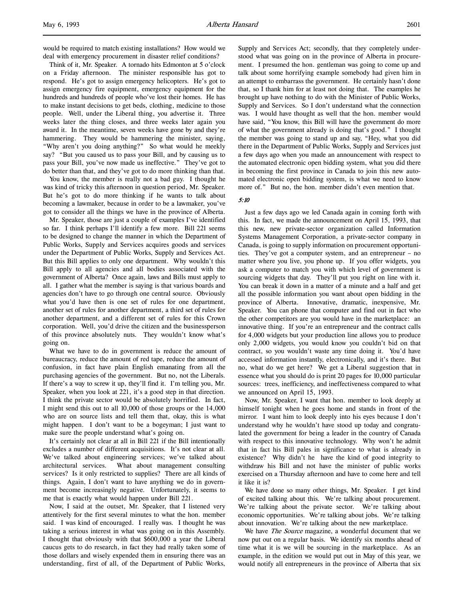would be required to match existing installations? How would we deal with emergency procurement in disaster relief conditions?

Think of it, Mr. Speaker. A tornado hits Edmonton at 5 o'clock on a Friday afternoon. The minister responsible has got to respond. He's got to assign emergency helicopters. He's got to assign emergency fire equipment, emergency equipment for the hundreds and hundreds of people who've lost their homes. He has to make instant decisions to get beds, clothing, medicine to those people. Well, under the Liberal thing, you advertise it. Three weeks later the thing closes, and three weeks later again you award it. In the meantime, seven weeks have gone by and they're hammering. They would be hammering the minister, saying, "Why aren't you doing anything?" So what would he meekly say? "But you caused us to pass your Bill, and by causing us to pass your Bill, you've now made us ineffective." They've got to do better than that, and they've got to do more thinking than that.

You know, the member is really not a bad guy. I thought he was kind of tricky this afternoon in question period, Mr. Speaker. But he's got to do more thinking if he wants to talk about becoming a lawmaker, because in order to be a lawmaker, you've got to consider all the things we have in the province of Alberta.

Mr. Speaker, those are just a couple of examples I've identified so far. I think perhaps I'll identify a few more. Bill 221 seems to be designed to change the manner in which the Department of Public Works, Supply and Services acquires goods and services under the Department of Public Works, Supply and Services Act. But this Bill applies to only one department. Why wouldn't this Bill apply to all agencies and all bodies associated with the government of Alberta? Once again, laws and Bills must apply to all. I gather what the member is saying is that various boards and agencies don't have to go through one central source. Obviously what you'd have then is one set of rules for one department, another set of rules for another department, a third set of rules for another department, and a different set of rules for this Crown corporation. Well, you'd drive the citizen and the businessperson of this province absolutely nuts. They wouldn't know what's going on.

What we have to do in government is reduce the amount of bureaucracy, reduce the amount of red tape, reduce the amount of confusion, in fact have plain English emanating from all the purchasing agencies of the government. But no, not the Liberals. If there's a way to screw it up, they'll find it. I'm telling you, Mr. Speaker, when you look at 221, it's a good step in that direction. I think the private sector would be absolutely horrified. In fact, I might send this out to all 10,000 of those groups or the 14,000 who are on source lists and tell them that, okay, this is what might happen. I don't want to be a bogeyman; I just want to make sure the people understand what's going on.

It's certainly not clear at all in Bill 221 if the Bill intentionally excludes a number of different acquisitions. It's not clear at all. We've talked about engineering services; we've talked about architectural services. What about management consulting services? Is it only restricted to supplies? There are all kinds of things. Again, I don't want to have anything we do in government become increasingly negative. Unfortunately, it seems to me that is exactly what would happen under Bill 221.

Now, I said at the outset, Mr. Speaker, that I listened very attentively for the first several minutes to what the hon. member said. I was kind of encouraged. I really was. I thought he was taking a serious interest in what was going on in this Assembly. I thought that obviously with that \$600,000 a year the Liberal caucus gets to do research, in fact they had really taken some of those dollars and wisely expended them in ensuring there was an understanding, first of all, of the Department of Public Works,

Supply and Services Act; secondly, that they completely understood what was going on in the province of Alberta in procurement. I presumed the hon. gentleman was going to come up and talk about some horrifying example somebody had given him in an attempt to embarrass the government. He certainly hasn't done that, so I thank him for at least not doing that. The examples he brought up have nothing to do with the Minister of Public Works, Supply and Services. So I don't understand what the connection was. I would have thought as well that the hon. member would have said, "You know, this Bill will have the government do more of what the government already is doing that's good." I thought the member was going to stand up and say, "Hey, what you did there in the Department of Public Works, Supply and Services just a few days ago when you made an announcement with respect to the automated electronic open bidding system, what you did there in becoming the first province in Canada to join this new automated electronic open bidding system, is what we need to know more of." But no, the hon. member didn't even mention that.

## 5:10

Just a few days ago we led Canada again in coming forth with this. In fact, we made the announcement on April 15, 1993, that this new, new private-sector organization called Information Systems Management Corporation, a private-sector company in Canada, is going to supply information on procurement opportunities. They've got a computer system, and an entrepreneur – no matter where you live, you phone up. If you offer widgets, you ask a computer to match you with which level of government is sourcing widgets that day. They'll put you right on line with it. You can break it down in a matter of a minute and a half and get all the possible information you want about open bidding in the province of Alberta. Innovative, dramatic, inexpensive, Mr. Speaker. You can phone that computer and find out in fact who the other competitors are you would have in the marketplace: an innovative thing. If you're an entrepreneur and the contract calls for 4,000 widgets but your production line allows you to produce only 2,000 widgets, you would know you couldn't bid on that contract, so you wouldn't waste any time doing it. You'd have accessed information instantly, electronically, and it's there. But no, what do we get here? We get a Liberal suggestion that in essence what you should do is print 20 pages for 10,000 particular sources: trees, inefficiency, and ineffectiveness compared to what we announced on April 15, 1993.

Now, Mr. Speaker, I want that hon. member to look deeply at himself tonight when he goes home and stands in front of the mirror. I want him to look deeply into his eyes because I don't understand why he wouldn't have stood up today and congratulated the government for being a leader in the country of Canada with respect to this innovative technology. Why won't he admit that in fact his Bill pales in significance to what is already in existence? Why didn't he have the kind of good integrity to withdraw his Bill and not have the minister of public works exercised on a Thursday afternoon and have to come here and tell it like it is?

We have done so many other things, Mr. Speaker. I get kind of excited talking about this. We're talking about procurement. We're talking about the private sector. We're talking about economic opportunities. We're talking about jobs. We're talking about innovation. We're talking about the new marketplace.

We have *The Source* magazine, a wonderful document that we now put out on a regular basis. We identify six months ahead of time what it is we will be sourcing in the marketplace. As an example, in the edition we would put out in May of this year, we would notify all entrepreneurs in the province of Alberta that six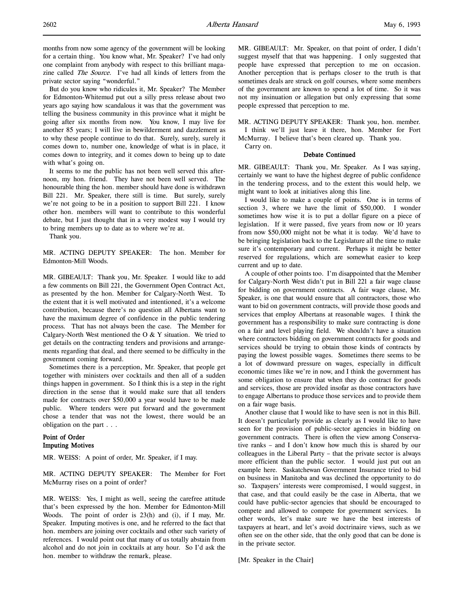months from now some agency of the government will be looking for a certain thing. You know what, Mr. Speaker? I've had only one complaint from anybody with respect to this brilliant magazine called *The Source*. I've had all kinds of letters from the private sector saying "wonderful."

But do you know who ridicules it, Mr. Speaker? The Member for Edmonton-Whitemud put out a silly press release about two years ago saying how scandalous it was that the government was telling the business community in this province what it might be going after six months from now. You know, I may live for another 85 years; I will live in bewilderment and dazzlement as to why these people continue to do that. Surely, surely, surely it comes down to, number one, knowledge of what is in place, it comes down to integrity, and it comes down to being up to date with what's going on.

It seems to me the public has not been well served this afternoon, my hon. friend. They have not been well served. The honourable thing the hon. member should have done is withdrawn Bill 221. Mr. Speaker, there still is time. But surely, surely we're not going to be in a position to support Bill 221. I know other hon. members will want to contribute to this wonderful debate, but I just thought that in a very modest way I would try to bring members up to date as to where we're at.

Thank you.

MR. ACTING DEPUTY SPEAKER: The hon. Member for Edmonton-Mill Woods.

MR. GIBEAULT: Thank you, Mr. Speaker. I would like to add a few comments on Bill 221, the Government Open Contract Act, as presented by the hon. Member for Calgary-North West. To the extent that it is well motivated and intentioned, it's a welcome contribution, because there's no question all Albertans want to have the maximum degree of confidence in the public tendering process. That has not always been the case. The Member for Calgary-North West mentioned the O & Y situation. We tried to get details on the contracting tenders and provisions and arrangements regarding that deal, and there seemed to be difficulty in the government coming forward.

Sometimes there is a perception, Mr. Speaker, that people get together with ministers over cocktails and then all of a sudden things happen in government. So I think this is a step in the right direction in the sense that it would make sure that all tenders made for contracts over \$50,000 a year would have to be made public. Where tenders were put forward and the government chose a tender that was not the lowest, there would be an obligation on the part . . .

# Point of Order Imputing Motives

MR. WEISS: A point of order, Mr. Speaker, if I may.

MR. ACTING DEPUTY SPEAKER: The Member for Fort McMurray rises on a point of order?

MR. WEISS: Yes, I might as well, seeing the carefree attitude that's been expressed by the hon. Member for Edmonton-Mill Woods. The point of order is 23(h) and (i), if I may, Mr. Speaker. Imputing motives is one, and he referred to the fact that hon. members are joining over cocktails and other such variety of references. I would point out that many of us totally abstain from alcohol and do not join in cocktails at any hour. So I'd ask the hon. member to withdraw the remark, please.

MR. GIBEAULT: Mr. Speaker, on that point of order, I didn't suggest myself that that was happening. I only suggested that people have expressed that perception to me on occasion. Another perception that is perhaps closer to the truth is that sometimes deals are struck on golf courses, where some members of the government are known to spend a lot of time. So it was not my insinuation or allegation but only expressing that some people expressed that perception to me.

MR. ACTING DEPUTY SPEAKER: Thank you, hon. member.

I think we'll just leave it there, hon. Member for Fort McMurray. I believe that's been cleared up. Thank you.

Carry on.

#### Debate Continued

MR. GIBEAULT: Thank you, Mr. Speaker. As I was saying, certainly we want to have the highest degree of public confidence in the tendering process, and to the extent this would help, we might want to look at initiatives along this line.

I would like to make a couple of points. One is in terms of section 3, where we have the limit of \$50,000. I wonder sometimes how wise it is to put a dollar figure on a piece of legislation. If it were passed, five years from now or 10 years from now \$50,000 might not be what it is today. We'd have to be bringing legislation back to the Legislature all the time to make sure it's contemporary and current. Perhaps it might be better reserved for regulations, which are somewhat easier to keep current and up to date.

A couple of other points too. I'm disappointed that the Member for Calgary-North West didn't put in Bill 221 a fair wage clause for bidding on government contracts. A fair wage clause, Mr. Speaker, is one that would ensure that all contractors, those who want to bid on government contracts, will provide those goods and services that employ Albertans at reasonable wages. I think the government has a responsibility to make sure contracting is done on a fair and level playing field. We shouldn't have a situation where contractors bidding on government contracts for goods and services should be trying to obtain those kinds of contracts by paying the lowest possible wages. Sometimes there seems to be a lot of downward pressure on wages, especially in difficult economic times like we're in now, and I think the government has some obligation to ensure that when they do contract for goods and services, those are provided insofar as those contractors have to engage Albertans to produce those services and to provide them on a fair wage basis.

Another clause that I would like to have seen is not in this Bill. It doesn't particularly provide as clearly as I would like to have seen for the provision of public-sector agencies in bidding on government contracts. There is often the view among Conservative ranks – and I don't know how much this is shared by our colleagues in the Liberal Party – that the private sector is always more efficient than the public sector. I would just put out an example here. Saskatchewan Government Insurance tried to bid on business in Manitoba and was declined the opportunity to do so. Taxpayers' interests were compromised, I would suggest, in that case, and that could easily be the case in Alberta, that we could have public-sector agencies that should be encouraged to compete and allowed to compete for government services. In other words, let's make sure we have the best interests of taxpayers at heart, and let's avoid doctrinaire views, such as we often see on the other side, that the only good that can be done is in the private sector.

[Mr. Speaker in the Chair]